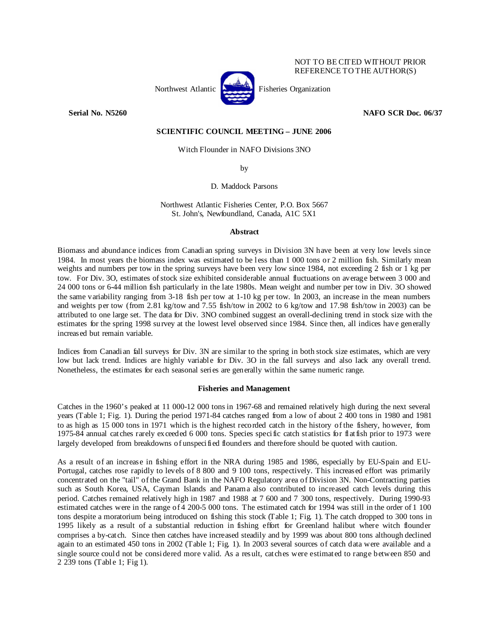

NOT TO BE CITED WITHOUT PRIOR REFERENCE TO THE AUTHOR(S)

**Serial No. N5260 NAFO SCR Doc. 06/37** 

# **SCIENTIFIC COUNCIL MEETING – JUNE 2006**

Witch Flounder in NAFO Divisions 3NO

by

D. Maddock Parsons

Northwest Atlantic Fisheries Center, P.O. Box 5667 St. John's, Newfoundland, Canada, A1C 5X1

# **Abstract**

Biomass and abundance indices from Canadian spring surveys in Division 3N have been at very low levels since 1984. In most years the biomass index was estimated to be less than 1 000 tons or 2 million fish. Similarly mean weights and numbers per tow in the spring surveys have been very low since 1984, not exceeding 2 fish or 1 kg per tow. For Div. 3O, estimates of stock size exhibited considerable annual fluctuations on average between 3 000 and 24 000 tons or 6-44 million fish particularly in the late 1980s. Mean weight and number per tow in Div. 3O showed the same variability ranging from 3-18 fish per tow at 1-10 kg per tow. In 2003, an increase in the mean numbers and weights per tow (from 2.81 kg/tow and 7.55 fish/tow in 2002 to 6 kg/tow and 17.98 fish/tow in 2003) can be attributed to one large set. The data for Div. 3NO combined suggest an overall-declining trend in stock size with the estimates for the spring 1998 survey at the lowest level observed since 1984. Since then, all indices have generally increased but remain variable.

Indices from Canadian fall surveys for Div. 3N are similar to the spring in both stock size estimates, which are very low but lack trend. Indices are highly variable for Div. 3O in the fall surveys and also lack any overall trend. Nonetheless, the estimates for each seasonal series are generally within the same numeric range.

### **Fisheries and Management**

Catches in the 1960's peaked at 11 000-12 000 tons in 1967-68 and remained relatively high during the next several years (Table 1; Fig. 1). During the period 1971-84 catches ranged from a low of about 2 400 tons in 1980 and 1981 to as high as 15 000 tons in 1971 which is the highest recorded catch in the history of the fishery, however, from 1975-84 annual catches rarely exceeded 6 000 tons. Species specific catch statistics for flatfish prior to 1973 were largely developed from breakdowns of unspecified flounders and therefore should be quoted with caution.

As a result of an increase in fishing effort in the NRA during 1985 and 1986, especially by EU-Spain and EU-Portugal, catches rose rapidly to levels of 8 800 and 9 100 tons, respectively. This increased effort was primarily concentrated on the "tail" of the Grand Bank in the NAFO Regulatory area of Division 3N. Non-Contracting parties such as South Korea, USA, Cayman Islands and Panama also contributed to increased catch levels during this period. Catches remained relatively high in 1987 and 1988 at 7 600 and 7 300 tons, respectively. During 1990-93 estimated catches were in the range of 4 200-5 000 tons. The estimated catch for 1994 was still in the order of 1 100 tons despite a moratorium being introduced on fishing this stock (Table 1; Fig. 1). The catch dropped to 300 tons in 1995 likely as a result of a substantial reduction in fishing effort for Greenland halibut where witch flounder comprises a by-catch. Since then catches have increased steadily and by 1999 was about 800 tons although declined again to an estimated 450 tons in 2002 (Table 1; Fig. 1). In 2003 several sources of catch data were available and a single source could not be considered more valid. As a result, catches were estimated to range between 850 and 2 239 tons (Table 1; Fig 1).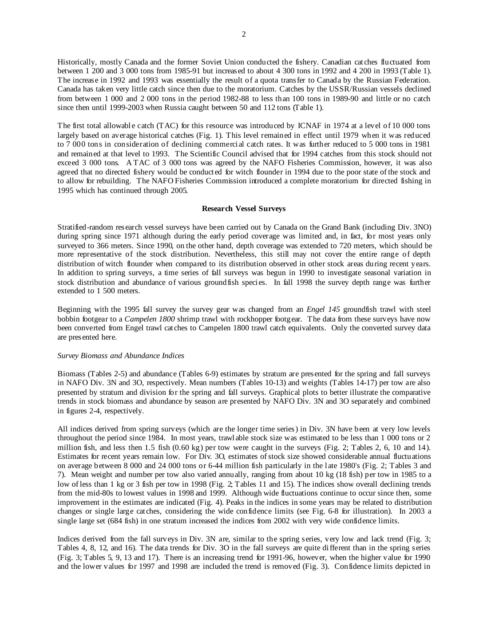Historically, mostly Canada and the former Soviet Union conducted the fishery. Canadian catches fluctuated from between 1 200 and 3 000 tons from 1985-91 but increased to about 4 300 tons in 1992 and 4 200 in 1993 (Table 1). The increase in 1992 and 1993 was essentially the result of a quota transfer to Canada by the Russian Federation. Canada has taken very little catch since then due to the moratorium. Catches by the USSR/Russian vessels declined from between 1 000 and 2 000 tons in the period 1982-88 to less than 100 tons in 1989-90 and little or no catch since then until 1999-2003 when Russia caught between 50 and 112 tons (Table 1).

The first total allowable catch (TAC) for this resource was introduced by ICNAF in 1974 at a level of 10 000 tons largely based on average historical catches (Fig. 1). This level remained in effect until 1979 when it was reduced to 7 000 tons in consideration of declining commercial catch rates. It was further reduced to 5 000 tons in 1981 and remained at that level to 1993. The Scientific Council advised that for 1994 catches from this stock should not exceed 3 000 tons. A TAC of 3 000 tons was agreed by the NAFO Fisheries Commission, however, it was also agreed that no directed fishery would be conducted for witch flounder in 1994 due to the poor state of the stock and to allow for rebuilding. The NAFO Fisheries Commission introduced a complete moratorium for directed fishing in 1995 which has continued through 2005.

### **Research Vessel Surveys**

Stratified-random research vessel surveys have been carried out by Canada on the Grand Bank (including Div. 3NO) during spring since 1971 although during the early period coverage was limited and, in fact, for most years only surveyed to 366 meters. Since 1990, on the other hand, depth coverage was extended to 720 meters, which should be more representative of the stock distribution. Nevertheless, this still may not cover the entire range of depth distribution of witch flounder when compared to its distribution observed in other stock areas during recent years. In addition to spring surveys, a time series of fall surveys was begun in 1990 to investigate seasonal variation in stock distribution and abundance of various groundfish species. In fall 1998 the survey depth range was further extended to 1 500 meters.

Beginning with the 1995 fall survey the survey gear was changed from an *Engel 145* groundfish trawl with steel bobbin footgear to a *Campelen 1800* shrimp trawl with rockhopper footgear. The data from these surveys have now been converted from Engel trawl catches to Campelen 1800 trawl catch equivalents. Only the converted survey data are presented here.

#### *Survey Biomass and Abundance Indices*

Biomass (Tables 2-5) and abundance (Tables 6-9) estimates by stratum are presented for the spring and fall surveys in NAFO Div. 3N and 3O, respectively. Mean numbers (Tables 10-13) and weights (Tables 14-17) per tow are also presented by stratum and division for the spring and fall surveys. Graphical plots to better illustrate the comparative trends in stock biomass and abundance by season are presented by NAFO Div. 3N and 3O separately and combined in figures 2-4, respectively.

All indices derived from spring surveys (which are the longer time series) in Div. 3N have been at very low levels throughout the period since 1984. In most years, trawlable stock size was estimated to be less than 1 000 tons or 2 million fish, and less then 1.5 fish (0.60 kg) per tow were caught in the surveys (Fig. 2; Tables 2, 6, 10 and 14). Estimates for recent years remain low. For Div. 3O, estimates of stock size showed considerable annual fluctuations on average between 8 000 and 24 000 tons or 6-44 million fish particularly in the late 1980's (Fig. 2; Tables 3 and 7). Mean weight and number per tow also varied annually, ranging from about 10 kg (18 fish) per tow in 1985 to a low of less than 1 kg or 3 fish per tow in 1998 (Fig. 2; Tables 11 and 15). The indices show overall declining trends from the mid-80s to lowest values in 1998 and 1999. Although wide fluctuations continue to occur since then, some improvement in the estimates are indicated (Fig. 4). Peaks in the indices in some years may be related to distribution changes or single large catches, considering the wide confidence limits (see Fig. 6-8 for illustration). In 2003 a single large set (684 fish) in one stratum increased the indices from 2002 with very wide confidence limits.

Indices derived from the fall surveys in Div. 3N are, similar to the spring series, very low and lack trend (Fig. 3; Tables 4, 8, 12, and 16). The data trends for Div. 3O in the fall surveys are quite different than in the spring series (Fig. 3; Tables 5, 9, 13 and 17). There is an increasing trend for 1991-96, however, when the higher value for 1990 and the lower values for 1997 and 1998 are included the trend is removed (Fig. 3). Confidence limits depicted in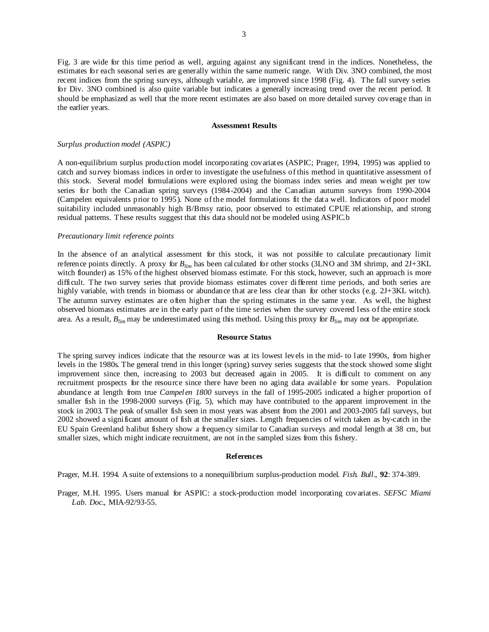Fig. 3 are wide for this time period as well, arguing against any significant trend in the indices. Nonetheless, the estimates for each seasonal series are generally within the same numeric range. With Div. 3NO combined, the most recent indices from the spring surveys, although variable, are improved since 1998 (Fig. 4). The fall survey series for Div. 3NO combined is also quite variable but indicates a generally increasing trend over the recent period. It should be emphasized as well that the more recent estimates are also based on more detailed survey coverage than in the earlier years.

#### **Assessment Results**

#### *Surplus production model (ASPIC)*

A non-equilibrium surplus production model incorporating covariates (ASPIC; Prager, 1994, 1995) was applied to catch and survey biomass indices in order to investigate the usefulness of this method in quantitative assessment of this stock. Several model formulations were explored using the biomass index series and mean weight per tow series for both the Canadian spring surveys (1984-2004) and the Canadian autumn surveys from 1990-2004 (Campelen equivalents prior to 1995). None of the model formulations fit the data well. Indicators of poor model suitability included unreasonably high B/Bmsy ratio, poor observed to estimated CPUE relationship, and strong residual patterns. These results suggest that this data should not be modeled using ASPIC.b

# *Precautionary limit reference points*

In the absence of an analytical assessment for this stock, it was not possible to calculate precautionary limit reference points directly. A proxy for *Blim* has been calculated for other stocks (3LNO and 3M shrimp, and 2J+3KL witch flounder) as 15% of the highest observed biomass estimate. For this stock, however, such an approach is more difficult. The two survey series that provide biomass estimates cover different time periods, and both series are highly variable, with trends in biomass or abundance that are less clear than for other stocks (e.g. 2J+3KL witch). The autumn survey estimates are often higher than the spring estimates in the same year. As well, the highest observed biomass estimates are in the early part of the time series when the survey covered less of the entire stock area. As a result, *Blim* may be underestimated using this method. Using this proxy for *Blim* may not be appropriate.

### **Resource Status**

The spring survey indices indicate that the resource was at its lowest levels in the mid- to late 1990s, from higher levels in the 1980s. The general trend in this longer (spring) survey series suggests that the stock showed some slight improvement since then, increasing to 2003 but decreased again in 2005. It is difficult to comment on any recruitment prospects for the resource since there have been no aging data available for some years. Population abundance at length from true *Campelen 1800* surveys in the fall of 1995-2005 indicated a higher proportion of smaller fish in the 1998-2000 surveys (Fig. 5), which may have contributed to the apparent improvement in the stock in 2003. The peak of smaller fish seen in most years was absent from the 2001 and 2003-2005 fall surveys, but 2002 showed a significant amount of fish at the smaller sizes. Length frequencies of witch taken as by-catch in the EU Spain Greenland halibut fishery show a frequency similar to Canadian surveys and modal length at 38 cm, but smaller sizes, which might indicate recruitment, are not in the sampled sizes from this fishery.

#### **References**

Prager, M.H. 1994. A suite of extensions to a nonequilibrium surplus-production model. *Fish. Bull*., **92**: 374-389.

Prager, M.H. 1995. Users manual for ASPIC: a stock-production model incorporating covariates. *SEFSC Miami Lab. Doc*., MIA-92/93-55.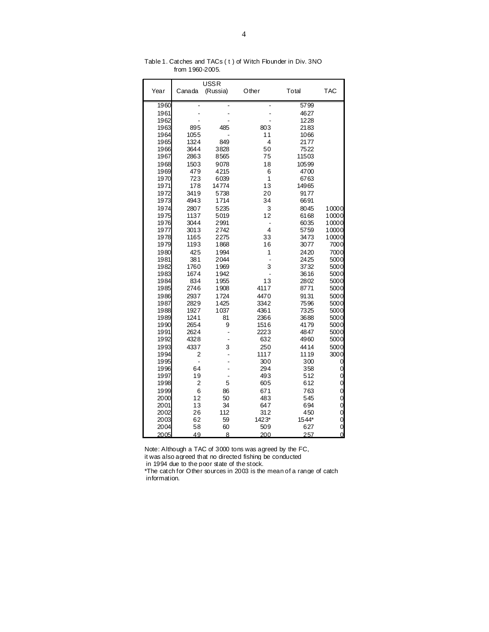|              |                | <b>USSR</b>  |                |              |                |
|--------------|----------------|--------------|----------------|--------------|----------------|
| Year         | Canada         | (Russia)     | Other          | Total        | <b>TAC</b>     |
| 1960         |                |              | ÷              | 5799         |                |
| 1961         |                |              |                | 4627         |                |
| 1962         |                |              |                | 1228         |                |
| 1963         | 895            | 485          | 803            | 2183         |                |
| 1964         | 1055           |              | 11             | 1066         |                |
| 1965         | 1324           | 849          | 4              | 2177         |                |
| 1966         | 3644           | 3828         | 50             | 7522         |                |
| 1967         | 2863           | 8565         | 75             | 11503        |                |
| 1968         | 1503           | 9078         | 18             | 10599        |                |
| 1969         | 479            | 4215         | 6              | 4700         |                |
| 1970         | 723            | 6039         | 1              | 6763         |                |
| 1971         | 178            | 14774        | 13             | 14965        |                |
| 1972         | 3419           | 5738         | 20             | 9177         |                |
| 1973         | 4943           | 1714         | 34             | 6691         |                |
| 1974         | 2807           | 5235         | 3              | 8045         | 10000          |
| 1975         | 1137           | 5019         | 12             | 6168         | 10000          |
| 1976         | 3044           | 2991         | -              | 6035         | 10000          |
| 1977         | 3013           | 2742         | $\overline{4}$ | 5759         | 10000          |
| 1978         | 1165           | 2275         | 33             | 3473         | 10000          |
| 1979         | 1193           | 1868         | 16             | 3077         | 7000           |
| 1980         | 425            | 1994         | 1              | 2420         | 7000           |
| 1981         | 381            | 2044         | $\overline{a}$ | 2425         | 5000           |
| 1982         | 1760           | 1969         | 3              | 3732         | 5000           |
| 1983         | 1674           | 1942         | $\overline{a}$ | 3616         | 5000           |
| 1984<br>1985 | 834<br>2746    | 1955<br>1908 | 13<br>4117     | 2802<br>8771 | 5000<br>5000   |
| 1986         | 2937           | 1724         | 4470           | 9131         | 5000           |
| 1987         | 2829           | 1425         | 3342           | 7596         | 5000           |
| 1988         | 1927           | 1037         | 4361           | 7325         | 5000           |
| 1989         | 1241           | 81           | 2366           | 3688         | 5000           |
| 1990         | 2654           | 9            | 1516           | 4179         | 5000           |
| 1991         | 2624           |              | 2223           | 4847         | 5000           |
| 1992         | 4328           |              | 632            | 4960         | 5000           |
| 1993         | 4337           | 3            | 250            | 4414         | 5000           |
| 1994         | 2              |              | 1117           | 1119         | 3000           |
| 1995         | $\overline{a}$ |              | 300            | 300          | 0              |
| 1996         | 64             |              | 294            | 358          | 0              |
| 1997         | 19             |              | 493            | 512          | 0              |
| 1998         | 2              | 5            | 605            | 612          | 0              |
| 1999         | 6              | 86           | 671            | 763          | 0              |
| 2000         | 12             | 50           | 483            | 545          | 0              |
| 2001         | 13             | 34           | 647            | 694          | 0              |
| 2002         | 26             | 112          | 312            | 450          | 0              |
| 2003         | 62             | 59           | 1423*          | 1544*        | 0              |
| 2004         | 58             | 60           | 509            | 627          | 0              |
| 2005         | 49             | 8            | 200            | 257          | $\overline{O}$ |

Table 1. Catches and TACs ( t ) of Witch Flounder in Div. 3NO from 1960-2005.

Note: Although a TAC of 3000 tons was agreed by the FC,

it was also agreed that no directed fishing be conducted in 1994 due to the poor state of the stock.

\*The catch for Other sources in 2003 is the mean of a range of catch information.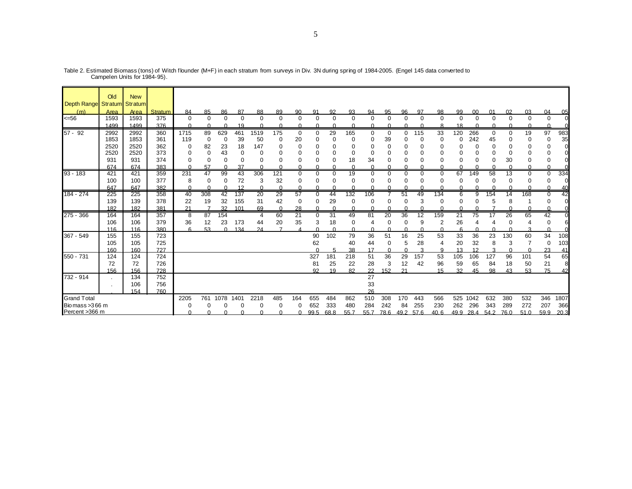|                     | Old  | <b>New</b>     |         |          |             |          |          |          |              |                 |                |             |          |          |             |              |          |          |                 |                |          |             |                   |             |                |
|---------------------|------|----------------|---------|----------|-------------|----------|----------|----------|--------------|-----------------|----------------|-------------|----------|----------|-------------|--------------|----------|----------|-----------------|----------------|----------|-------------|-------------------|-------------|----------------|
| Depth Range Stratum |      | <b>Stratum</b> |         |          |             |          |          |          |              |                 |                |             |          |          |             |              |          |          |                 |                |          |             |                   |             |                |
| (m)                 | Area | Area           | Stratum | 84       | 85          | 86       | 87       | 88       | 89           | 90              | 91             | 92          | 93       | 94       | 95          | 96           | 97       | 98       | 99              | 0 <sup>0</sup> | 01       | 02          | 0.3               | 04          | 05             |
| $= 56$              | 1593 | 1593           | 375     | 0        | $\mathbf 0$ | $\Omega$ | $\Omega$ | $\Omega$ | $\mathbf 0$  | $\mathbf 0$     | $\mathbf 0$    | $\mathbf 0$ | $\Omega$ | $\Omega$ | $\mathbf 0$ | $\Omega$     | 0        | 0        | $\Omega$        | $\mathbf 0$    | $\Omega$ | $\mathbf 0$ | $\Omega$          | $\mathbf 0$ | $\overline{0}$ |
|                     | 1499 | 1499           | 376     | ∩        | $\Omega$    | ∩        | 19       |          | ∩            | <sup>0</sup>    |                |             |          |          | U           | <sup>n</sup> | ∩        | я        | 18              |                |          |             |                   |             |                |
| 57 - 92             | 2992 | 2992           | 360     | 1715     | 89          | 629      | 461      | 1519     | 175          | 0               | $\mathbf 0$    | 29          | 165      | 0        | $\mathbf 0$ | 0            | 115      | 33       | 120             | 266            | 0        | 0           | 19                | 97          | 983            |
|                     | 1853 | 1853           | 361     | 119      | $\mathbf 0$ | 0        | 39       | 50       | 0            | 20              | 0              | $\Omega$    | 0        | $\Omega$ | 39          | 0            | 0        | 0        | $\Omega$        | 242            | 45       | $\Omega$    | 0                 | 0           | 35             |
|                     | 2520 | 2520           | 362     | 0        | 82          | 23       | 18       | 147      | 0            | O               |                |             | 0        |          | C           | 0            |          | 0        | 0               | C              | O        |             |                   | 0           | $\overline{0}$ |
|                     | 2520 | 2520           | 373     | $\Omega$ | $\Omega$    | 43       | $\Omega$ | O        | n            | $\Omega$        |                | ∩           | $\Omega$ | $\Omega$ | C           | $\Omega$     | $\Omega$ | 0        | O               | C              | $\Omega$ | $\Omega$    |                   | $\Omega$    | $\Omega$       |
|                     | 931  | 931            | 374     |          | $\Omega$    | $\Omega$ | $\Omega$ |          |              | $\Omega$        |                | 0           | 18       | 34       | O           | O            | $\Omega$ | O        |                 | C              | O        | 30          |                   | O           | $\Omega$       |
|                     | 674  | 674            | 383     | ∩        | 57          | $\Omega$ | 37       |          |              | ∩               |                |             | $\cap$   |          | $\Omega$    | $\cap$       | ∩        |          | $\Omega$        | C              |          | ∩           |                   | $\Omega$    |                |
| $93 - 183$          | 421  | 421            | 359     | 231      | 47          | 99       | 43       | 306      | 121          | 0               | $\Omega$       | 0           | 19       | $\Omega$ | $\Omega$    | $\Omega$     | 0        | 0        | 67              | 149            | 58       | 13          | 0                 | $\Omega$    | 334            |
|                     | 100  | 100            | 377     | 8        | $\Omega$    | $\Omega$ | 72       | 3        | 32           | $\Omega$        | $\Omega$       | ∩           | $\Omega$ | $\Omega$ | O           | $\Omega$     | $\Omega$ | 0        | $\Omega$        | $\Omega$       | O        | 0           | O                 | $\Omega$    | $\Omega$       |
|                     | 647  | 647            | 382     | ∩        | C           |          | 12       |          | <sup>0</sup> | ∩               | C              |             |          |          | n           | $\cap$       | $\Omega$ | ∩        |                 | ∩              |          | $\Omega$    |                   |             | 40             |
| 184 - 274           | 225  | 225            | 358     | 40       | 308         | 42       | 137      | 20       | 29           | 57              | $\mathbf 0$    | 44          | 132      | 106      |             | 51           | 49       | 134      | 6               | 9              | 154      | 14          | 168               | $\Omega$    | 42             |
|                     | 139  | 139            | 378     | 22       | 19          | 32       | 155      | 31       | 42           | 0               | $\Omega$       | 29          | $\Omega$ | $\Omega$ | 0           | $\Omega$     | 3        | 0        | $\Omega$        | C              | 5        | 8           |                   |             | $\overline{0}$ |
|                     | 182  | 182            | 381     | 21       |             | 32       | 101      | 69       | $\Omega$     | 28              |                |             |          |          |             |              |          |          |                 |                |          |             |                   |             | $\Omega$       |
| 275 - 366           | 164  | 164            | 357     | 8        | 87          | 154      |          | 4        | 60           | $\overline{21}$ | $\Omega$       | 31          | 49       | 81       | 20          | 36           | 12       | 159      | $\overline{21}$ | 75             |          | 26          | 65                | 42          | $\Omega$       |
|                     | 106  | 106            | 379     | 36       | 12          | 23       | 173      | 44       | 20           | 35              | 3              | 18          | 0        | 4        | 0           | 0            | 9        | 2        | 26              | 4              |          | $\Omega$    | 4                 | 0           | 6              |
|                     | 116  | 116            | 380     | ĥ        | 53          | $\Omega$ | 134      | 24       | ⇁            |                 | $\cap$         | $\Omega$    | $\cap$   | ∩        | $\Omega$    | $\Omega$     | $\Omega$ | $\Omega$ | ĥ               | $\Omega$       | n        | $\Omega$    | $\mathbf{\Omega}$ | $\Omega$    | $\Omega$       |
| 367 - 549           | 155  | 155            | 723     |          |             |          |          |          |              |                 | 90             | 102         | 79       | 36       | 51          | 16           | 25       | 53       | 33              | 36             | 23       | 130         | 60                | 34          | 108            |
|                     | 105  | 105            | 725     |          |             |          |          |          |              |                 | 62             |             | 40       | 44       | 0           | 5            | 28       | 4        | 20              | 32             | 8        | 3           |                   | $\Omega$    | 103            |
|                     | 160  | 160            | 727     |          |             |          |          |          |              |                 |                |             | 38       | 17       | $\Omega$    | $\cap$       | o        | a        | 13              | 12             |          | $\Omega$    |                   | 23          | 41             |
| 550 - 731           | 124  | 124            | 724     |          |             |          |          |          |              |                 | 327            | 181         | 218      | 51       | 36          | 29           | 157      | 53       | 105             | 106            | 127      | 96          | 101               | 54          | 65             |
|                     | 72   | 72             | 726     |          |             |          |          |          |              |                 | 81             | 25          | 22       | 28       | 3           | 12           | 42       | 96       | 59              | 65             | 84       | 18          | 50                | 21          | 8              |
|                     | 156  | 156            | 728     |          |             |          |          |          |              |                 | Q <sub>2</sub> | 19          | 82       | 22       | 152         | 21           |          | 15       | 32              | 45             | 98       | 43          | 53                | 75          | 42             |
| 732 - 914           |      | 134            | 752     |          |             |          |          |          |              |                 |                |             |          | 27       |             |              |          |          |                 |                |          |             |                   |             |                |
|                     |      | 106            | 756     |          |             |          |          |          |              |                 |                |             |          | 33       |             |              |          |          |                 |                |          |             |                   |             |                |
|                     |      | 154            | 760     |          |             |          |          |          |              |                 |                |             |          | 26       |             |              |          |          |                 |                |          |             |                   |             |                |
| <b>Grand Total</b>  |      |                |         | 2205     | 761         | 1078     | 1401     | 2218     | 485          | 164             | 655            | 484         | 862      | 510      | 308         | 170          | 443      | 566      | 525             | 1042           | 632      | 380         | 532               | 346         | 1807           |
| Biomass > 366 m     |      |                |         |          |             |          | $\Omega$ | O        | 0            | O               | 652            | 333         | 480      | 284      | 242         | 84           | 255      | 230      | 262             | 296            | 343      | 289         | 272               | 207         | 366            |
| Percent >366 m      |      |                |         |          |             |          |          |          | ∩            | <sup>n</sup>    | 99.5           | 68.8        | 55.7     | 55.7     | 78.6        | 49.2         | 57.6     | 40.6     | 49.9            | 28.4           | 54.2     | 76.0        | 51.0              | 59.9        | 20.3           |

Table 2. Estimated Biomass (tons) of Witch flounder (M+F) in each stratum from surveys in Div. 3N during spring of 1984-2005. (Engel 145 data converted to<br>Campelen Units for 1984-95).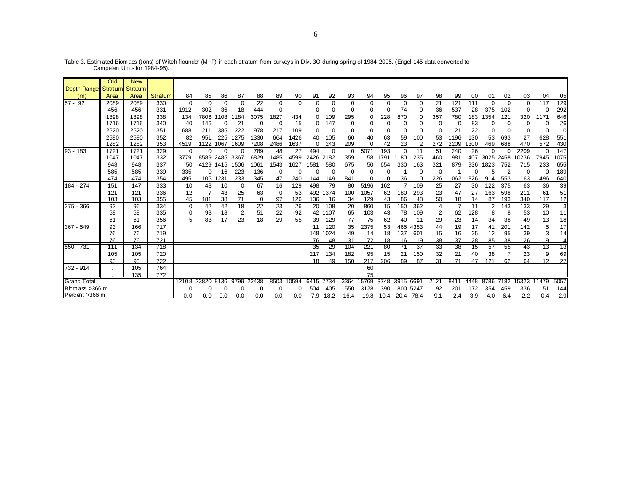|                                  | Old  | <b>New</b> |         |          |          |          |                |          |          |          |          |          |          |             |          |           |      |          |                |      |                |      |          |          |                |
|----------------------------------|------|------------|---------|----------|----------|----------|----------------|----------|----------|----------|----------|----------|----------|-------------|----------|-----------|------|----------|----------------|------|----------------|------|----------|----------|----------------|
| Depth Range Stratum Stratum      |      |            |         |          |          |          |                |          |          |          |          |          |          |             |          |           |      |          |                |      |                |      |          |          |                |
| (m)                              | Area | Area       | Stratum | 84       | 85       | 86       | 87             | 88       | 89       | 90       | 91       | 92       | 93       | 94          | 95       | 96        | 97   | 98       | 99             | 00   | 01             | 02   | 03       | 04       | 05             |
| $57 - 92$                        | 2089 | 2089       | 330     | $\Omega$ | $\Omega$ | $\Omega$ | $\Omega$       | 22       | 0        | $\Omega$ | 0        | $\Omega$ | 0        | 0           | 0        | 0         | 0    | 21       | 121            | 111  | $\Omega$       | 0    | $\Omega$ | 117      | 129            |
|                                  | 456  | 456        | 331     | 1912     | 302      | 36       | 18             | 444      | 0        |          |          |          |          | 0           | $\Omega$ | 74        | 0    | 36       | 537            | 28   | 375            | 102  |          |          | 292            |
|                                  | 1898 | 1898       | 338     | 134      | 7806     | 1108     | 1184           | 3075     | 1827     | 434      | 0        | 109      | 295      | 0           | 228      | 870       | 0    | 357      | 780            | 183  | 1354           | 121  | 320      | 1171     | 646            |
|                                  | 1716 | 1716       | 340     | 40       | 146      | $\Omega$ | 21             | C        | $\Omega$ | 15       | 0        | 147      |          | O           | C        | C         |      |          | $\Omega$       | 83   | 0              | 0    |          | $\Omega$ | 26             |
|                                  | 2520 | 2520       | 351     | 688      | 211      | 385      | 222            | 978      | 217      | 109      | C        | O        |          | O           | C        | C         | 0    | $\Omega$ | 21             | 22   | 0              |      |          | $\Omega$ | $\Omega$       |
|                                  | 2580 | 2580       | 352     | 82       | 951      | 225      | 1275           | 1330     | 664      | 1426     | 40       | 105      | 60       | 40          | 63       | 59        | 100  | 53       | 1196           | 130  | 53             | 693  | 27       | 628      | 551            |
|                                  | 1282 | 1282       | 353     | 4519     | 1122     | 1067     | 1609           | 7208     | 2486     | 1637     | $\Omega$ | 243      | 209      | ∩           | 42       | 23        | າ    | 272      | 2209           | 300  | 469            | 688  | 470      | 572      | 430            |
| $93 - 183$                       | 1721 | 1721       | 329     | $\Omega$ |          |          |                | 789      | 48       | 27       | 494      | $\Omega$ | $\Omega$ | 5071        | 193      | $\Omega$  | 11   | 51       | 240            | 26   | $\Omega$       |      | 2209     | $\Omega$ | 147            |
|                                  | 1047 | 1047       | 332     | 3779     | 8589     | 2485     | 3367           | 6829     | 1485     | 4599     | 2426     | 2182     | 359      | 58          | 791      | 1180      | 235  | 460      | 981            | 407  | 3025           | 2458 | 10236    | 7945     | 1075           |
|                                  | 948  | 948        | 337     | 50       | 4129     | 1415     | 1506           | 1061     | 1543     | 1627     | 1581     | 580      | 675      | 50          | 654      | 330       | 163  | 321      | 879            | 936  | 1823           | 752  | 715      | 233      | 655            |
|                                  | 585  | 585        | 339     | 335      | 0        | 16       | 223            | 136      | 0        |          |          | 0        | $\Omega$ | 0           | C        |           | 0    | $\Omega$ |                |      | 5              | 2    | 0        | $\Omega$ | 189            |
|                                  | 474  | 474        | 354     | 495      | 105      | 1231     | 233            | 345      | 47       | 240      | 144      | 149      | 841      | ŋ           | $\Omega$ | 36        | O    | 226      | 1062           | 826  | 914            | 553  | 163      | 496      | 640            |
| 184 - 274                        | 151  | 147        | 333     | 10       | 48       | 10       | 0              | 67       | 16       | 129      | 498      | 79       | 80       | 5196        | 162      | 7         | 109  | 25       | 27             | 30   | 122            | 375  | 63       | 36       | 39             |
|                                  | 121  | 121        | 336     | 12       |          | 43       | 25             | 63       | 0        | 53       | 492      | 1374     | 100      | 1057        | 62       | 180       | 293  | 23       | 47             | 27   | 163            | 598  | 211      | 61       | 51             |
|                                  | 103  | 103        | 355     | 45       | 181      | 38       | 71             | $\Omega$ | 97       | 126      | 136      | 16       | 34       | 129         | 43       | 86        | 48   | 50       | 18             | 14   | 87             | 193  | 340      | 117      | 12             |
| 275 - 366                        | 92   | 96         | 334     | 0        | 42       | 42       | 18             | 22       | 23       | 26       | 20       | 108      | 20       | 860         | 15       | 150       | 362  |          | $\overline{7}$ | 11   | $\overline{2}$ | 143  | 133      | 29       | 3 <sup>l</sup> |
|                                  | 58   | 58         | 335     |          | 98       | 18       | $\overline{2}$ | 51       | 22       | 92       | 42       | 1107     | 65       | 103         | 43       | 78        | 109  | 2        | 62             | 128  | 8              | 8    | 53       | 10       | 11             |
|                                  | 61   | 61         | 356     |          | 83       |          | 23             | 18       | 29       | 55       | 39       | 129      | 77       | 75          | 62       | 40        | 11   | 29       | 23             | 14   | 34             | 38   | 49       | 13       | 18             |
| 367 - 549                        | 93   | 166        | 717     |          |          |          |                |          |          |          | 11       | 120      | 35       | 2375        | 53       | 465       | 4353 | 44       | 19             | 17   | 41             | 201  | 142      | 5        | 17             |
|                                  | 76   | 76         | 719     |          |          |          |                |          |          |          | 148      | 1024     | 49       | 14          | 18       | 137       | 601  | 15       | 16             | 25   | 12             | 95   | 39       | 3        | 14             |
|                                  | 76   | 76         | 721     |          |          |          |                |          |          |          | 76       | 48       | 31       | 72          | 18       | 16        | 19   | 38       | 37             | 28   | 85             | 38   | 26       | O        | 4              |
| 550 - 731                        | 111  | 134        | 718     |          |          |          |                |          |          |          | 35       | 29       | 104      | 221         | 80       | 71        | 37   | 33       | 38             | 15   | 57             | 55   | 43       | 13       | 13             |
|                                  | 105  | 105        | 720     |          |          |          |                |          |          |          | 217      | 134      | 182      | 95          | 15       | 21        | 150  | 32       | 21             | 40   | 38             |      | 23       | 9        | 69             |
|                                  | 93   | $Q_3$      | 722     |          |          |          |                |          |          |          | 18       | 49       | 150      | 217         | 206      | 89        | 87   | 31       | 71             | 47   | 121            | 62   | 64       | 12       | 27             |
| 732 - 914                        |      | 105        | 764     |          |          |          |                |          |          |          |          |          |          | 60          |          |           |      |          |                |      |                |      |          |          |                |
|                                  |      | 135        | 772     |          | 23820    |          | 9799           | 22438    | 8503     |          |          |          |          | 75<br>15769 | 3748     | 3915      |      |          | 8411           | 4448 | 8786           | 7182 |          | 11479    | 5057           |
| <b>Grand Total</b>               |      |            |         | 12108    |          | 8136     |                |          |          | 10594    | 6415     | 7734     | 3364     |             |          |           | 6691 | 2121     |                |      |                |      | 15323    |          |                |
| Biomass >366 m<br>Percent >366 m |      |            |         |          |          |          |                |          |          |          | 504      | 1405     | 550      | 3128        | 390      | 800 5247  |      | 192      | 201            | 172  | 354            | 459  | 336      | 51       | 144            |
|                                  |      |            |         | 0.0      | 0.0      | 0.0      | n n            | 0.0      | 0.0      | 0.0      |          | 79 182   | 16.4     | 19.8        | 10.4     | 20.4 78.4 |      | 9.1      | 2.4            | 3.9  | 4 O            | 64   | 22       | 04       | 2.9            |

Table 3. Estimated Biomass (tons) of Witch flounder (M+F) in each stratum from surveys in Div. 3O during spring of 1984-2005. (Engel 145 data converted to<br>Campelen Units for 1984-95).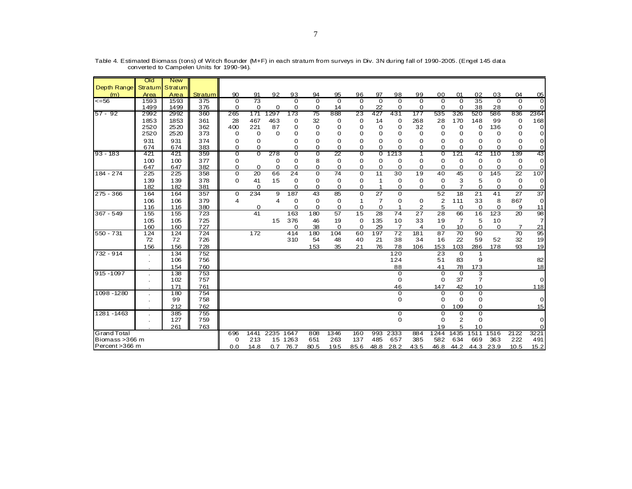|                    | Old        | <b>New</b>      |                |             |                 |                |                 |                |                |               |          |                         |                     |                     |                 |                |                |                |                   |
|--------------------|------------|-----------------|----------------|-------------|-----------------|----------------|-----------------|----------------|----------------|---------------|----------|-------------------------|---------------------|---------------------|-----------------|----------------|----------------|----------------|-------------------|
| Depth Range        |            | Stratum Stratum |                |             |                 |                |                 |                |                |               |          |                         |                     |                     |                 |                |                |                |                   |
| (m)                | Area       | Area            | <b>Stratum</b> | 90          | 91              | 92             | 93              | 94             | 95             | 96            | 97       | 98                      | 99                  | 00                  | 01              | 02             | 03             | 04             | 05                |
| $\leq$ =56         | 1593       | 1593            | 375            | $\Omega$    | $\overline{73}$ |                | $\Omega$        | $\Omega$       | $\Omega$       | $\Omega$      | $\Omega$ | $\Omega$                | $\Omega$            | $\Omega$            | $\Omega$        | 35             | $\Omega$       | $\Omega$       | $\Omega$          |
|                    | 1499       | 1499            | 376            | 0           | 0               | 0              | 0               | 0              | 14             | 0             | 22       | 0                       | 0                   | 0                   | 0               | 38             | 28             | 0              | $\mathbf 0$       |
| 57 - 92            | 2992       | 2992            | 360            | 265         | 171             | 1297           | 173             | 75             | 888            | 23            | 427      | 431                     | 177                 | 535                 | 326             | 520            | 586            | 836            | 2364              |
|                    | 1853       | 1853            | 361            | 28          | 467             | 463            | 0               | 32             | 0              | 0             | 14       | 0                       | 268                 | 28                  | 170             | 148            | 99             | 0              | 168               |
|                    | 2520       | 2520            | 362            | 400         | 221             | 87             | 0               | $\Omega$       | 0              | 0             | 0        | 0                       | 32                  | 0                   | 0               | 0              | 136            | 0              | $\mathbf 0$       |
|                    | 2520       | 2520            | 373            | 0           | 0               | $\Omega$       | 0               | $\Omega$       | $\Omega$       | 0             | 0        | $\Omega$                | 0                   | $\mathbf 0$         | 0               | $\Omega$       | $\Omega$       | 0              | $\mathbf 0$       |
|                    | 931        | 931             | 374            | 0           | $\Omega$        |                | 0               | $\Omega$       | 0              | 0             | 0        | $\Omega$                | 0                   | 0                   | $\Omega$        | 0              | $\Omega$       | 0              | $\mathbf 0$       |
|                    | 674        | 674             | 383            | $\Omega$    | $\Omega$        |                | 0               | 0              | $\Omega$       | $\Omega$      | 0        | 0                       | $\Omega$            | 0                   | $\Omega$        | 0              | $\Omega$       | $\Omega$       | $\mathbf 0$       |
| 93 - 183           | 421        | -421            | 359            | 0           | 0               | 278            | 0               | 0              | 22             | O             | 0        | 1213                    | ד                   | 0                   | 121             | 42             | 110            | 139            | 43                |
|                    | 100        | 100             | 377            | 0           |                 | 0              | 0               | 8              | 0              | 0             | 0        | 0                       | 0                   | 0                   | 0               | 0              | 0              | 0              | $\mathbf 0$       |
|                    | 647        | 647             | 382            | 0           | 0               | 0              | 0               | 0              | 0              | 0             | 0        | 0                       | 0                   | 0                   | 0               | 0              | 0              | $\mathbf 0$    | $\mathbf 0$       |
| 184 - 274          | 225        | 225             | 358            | $\mathbf 0$ | 20              | 66             | 24              | $\Omega$       | 74             | $\mathbf 0$   | 11       | 30                      | 19                  | 40                  | 45              | $\mathbf 0$    | 145            | 22             | 107               |
|                    | 139        | 139             | 378            | 0           | 41              | 15             | 0               | 0              | 0              | 0             | 1        | 0                       | 0                   | 0                   | 3<br>7          | 5              | 0              | $\mathbf 0$    | $\mathbf 0$       |
| 275 - 366          | 182<br>164 | 182<br>164      | 381<br>357     |             | $\Omega$<br>234 | 9              | $\Omega$<br>187 | $\Omega$<br>43 | $\Omega$<br>85 | $\Omega$<br>0 | 1<br>27  | $\Omega$<br>$\mathbf 0$ | 0                   | $\Omega$<br>52      | 18              | $\Omega$<br>21 | $\Omega$<br>41 | $\Omega$<br>27 | $\mathbf 0$<br>37 |
|                    |            |                 |                | 0           |                 |                |                 |                |                |               |          |                         |                     |                     |                 |                |                |                | $\mathbf 0$       |
|                    | 106<br>116 | 106<br>116      | 379<br>380     | 4           | $\Omega$        | $\overline{4}$ | 0<br>$\Omega$   | 0<br>$\Omega$  | 0<br>0         | 1<br>0        | 7<br>0   | 0                       | 0<br>$\overline{2}$ | $\overline{2}$<br>5 | 111<br>$\Omega$ | 33<br>0        | 8<br>$\Omega$  | 867            | 11                |
| 367 - 549          | 155        | 155             | 723            |             | 41              |                | 163             | 180            | 57             | 15            | 28       | 74                      | 27                  | 28                  | 66              | 16             | 123            | 9<br>20        | 98                |
|                    | 105        | 105             | 725            |             |                 | 15             | 376             | 46             | 19             | 0             | 135      | 10                      | 33                  | 19                  | 7               | 5              | 10             |                | $\overline{7}$    |
|                    | 160        | 160             | 727            |             |                 |                | $\Omega$        | 38             | $\Omega$       | 0             | 29       | 7                       | 4                   | 0                   | 10              | 0              | $\Omega$       | 7              | 21                |
| 550 - 731          | 124        | 124             | 724            |             | 172             |                | 414             | 180            | 104            | 60            | 197      | 72                      | 181                 | 87                  | 70              | 90             |                | 70             | 95                |
|                    | 72         | 72              | 726            |             |                 |                | 310             | 54             | 48             | 40            | 21       | 38                      | 34                  | 16                  | 22              | 59             | 52             | 32             | 19                |
|                    | 156        | 156             | 728            |             |                 |                |                 | 153            | 35             | 21            | 76       | 78                      | 106                 | 153                 | 103             | 286            | 178            | 93             | 19                |
| 732 - 914          |            | 134             | 752            |             |                 |                |                 |                |                |               |          | 120                     |                     | 23                  | $\Omega$        | 1              |                |                |                   |
|                    | $\cdot$    | 106             | 756            |             |                 |                |                 |                |                |               |          | 124                     |                     | 51                  | 83              | 9              |                |                | 82                |
|                    |            | 154             | 760            |             |                 |                |                 |                |                |               |          | 88                      |                     | 41                  | 78              | 173            |                |                | 18                |
| $915 - 1097$       |            | 138             | 753            |             |                 |                |                 |                |                |               |          | 0                       |                     | 0                   | $\Omega$        | 3              |                |                |                   |
|                    |            | 102             | 757            |             |                 |                |                 |                |                |               |          | 0                       |                     | 0                   | 37              | $\overline{7}$ |                |                | $\mathbf 0$       |
|                    |            | 171             | 761            |             |                 |                |                 |                |                |               |          | 46                      |                     | 147                 | 42              | 10             |                |                | 118               |
| 1098 - 1280        |            | 180             | 754            |             |                 |                |                 |                |                |               |          | 0                       |                     | 0                   | $\mathbf 0$     | $\mathbf 0$    |                |                |                   |
|                    |            | 99              | 758            |             |                 |                |                 |                |                |               |          | $\Omega$                |                     | $\Omega$            | $\Omega$        | 0              |                |                | $\mathbf 0$       |
|                    |            | 212             | 762            |             |                 |                |                 |                |                |               |          |                         |                     | 0                   | 109             | 0              |                |                | 15                |
| 1281 - 1463        |            | 385             | 755            |             |                 |                |                 |                |                |               |          | 0                       |                     | 0                   | 0               | $\overline{0}$ |                |                |                   |
|                    |            | 127             | 759            |             |                 |                |                 |                |                |               |          | $\mathbf 0$             |                     | 0                   | 2               | $\Omega$       |                |                | $\mathbf 0$       |
|                    |            | 261             | 763            |             |                 |                |                 |                |                |               |          |                         |                     | 19                  | 5               | 10             |                |                | $\mathbf 0$       |
| <b>Grand Total</b> |            |                 |                | 696         | 1441            | 2235 1647      |                 | 808            | 1346           | 160           | 993      | 2333                    | 884                 | 1244                | 1435            | 1511           | 1516           | 2122           | 3221              |
| Biomass > 366 m    |            |                 |                | 0           | 213             |                | 15 1263         | 651            | 263            | 137           | 485      | 657                     | 385                 | 582                 | 634             | 669            | 363            | 222            | 491               |
| Percent > 366 m    |            |                 |                | 0.0         | 14.8            |                | $0.7$ 76.7      | 80.5           | 19.5           | 85.6          | 48.8     | 28.2                    | 43.5                | 46.8                | 44.2            | 44.3           | 23.9           | 10.5           | 15.2              |

Table 4. Estimated Biomass (tons) of Witch flounder (M+F) in each stratum from surveys in Div. 3N during fall of 1990-2005. (Engel 145 data converted to Campelen Units for 1990-94).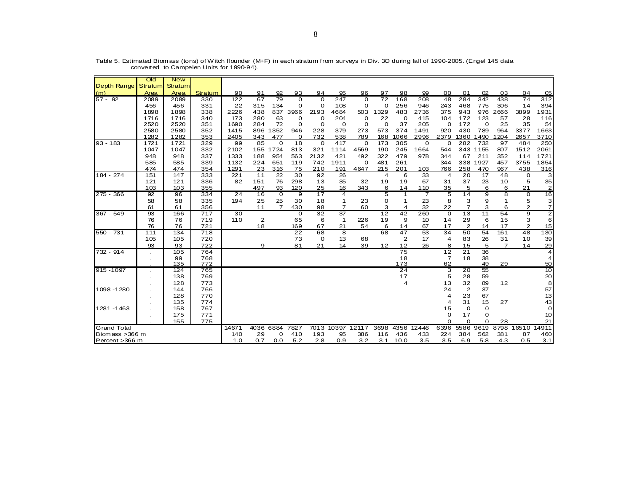|                    |                | Old         | <b>New</b>  |            |              |                |                |             |             |                |             |            |                      |                |                         |                    |             |                |                |                 |
|--------------------|----------------|-------------|-------------|------------|--------------|----------------|----------------|-------------|-------------|----------------|-------------|------------|----------------------|----------------|-------------------------|--------------------|-------------|----------------|----------------|-----------------|
| <b>Depth Range</b> |                | Stratum     | Stratum     |            |              |                |                |             |             |                |             |            |                      |                |                         |                    |             |                |                |                 |
| (m)                |                | Area        | Area        | Stratum    | 90           | 91             | 92             | 93          | 94          | 95             | 96          | 97         | 98                   | 99             | 00                      | 01                 | 02          | 03             | 04             | 05              |
| $57 - 92$          |                | 2089        | 2089        | 330        | 122          | 67             | 79             | $\Omega$    | $\mathbf 0$ | 247            | $\mathbf 0$ | 72         | 168                  | 208            | 48                      | 284                | 342         | 438            | 74             | 312             |
|                    |                | 456         | 456         | 331        | 22           | 315            | 134            | 0           | $\Omega$    | 108            | $\mathbf 0$ | 0          | 256                  | 946            | 243                     | 468                | 775         | 306            | 14             | 394             |
|                    |                | 1898        | 1898        | 338        | 2226         | 438            | 837            | 3966        | 2193        | 4684           | 503         | 329        | 483                  | 2736           | 375                     | 943                | 976         | 2666           | 3899           | 1931            |
|                    |                | 1716        | 1716        | 340        | 173          | 280            | 63             | 0           | 0           | 204            | 0           | 22         | 0                    | 415            | 104                     | 172                | 123         | 57             | 28             | 116             |
|                    |                | 2520        | 2520        | 351        | 1690         | 284            | 72             | $\Omega$    | $\mathbf 0$ | $\Omega$       | 0           | $\Omega$   | 37                   | 205            | $\Omega$                | 172                | $\Omega$    | 25             | 35             | 54              |
|                    |                | 2580        | 2580        | 352        | 1415         | 896            | 1352           | 946         | 228         | 379            | 273         | 573        | 374                  | 1491           | 920                     | 430                | 789         | 964            | 3377           | 1663            |
|                    |                | 1282        | 1282        | 353        | 2405         | 343            | 477            | 0           | 732         | 538            | 789         | 168        | 1066                 | 2996           | 2379                    | 1360               | 1490        | 1204           | 2657           | 3710            |
| $93 - 183$         |                | 1721        | 1721        | 329        | 99           | 85             | $\mathbf 0$    | 18          | $\mathbf 0$ | 417            | $\mathbf 0$ | 173        | 305                  | 0              | 0                       | 282                | 732         | 97             | 484            | 250             |
|                    |                | 1047<br>948 | 1047<br>948 | 332<br>337 | 2102<br>1333 | 155<br>188     | 1724<br>954    | 813<br>563  | 321<br>2132 | 1114<br>421    | 4569<br>492 | 190<br>322 | 245<br>479           | 1664<br>978    | 544<br>344              | 343<br>67          | 1155<br>211 | 807<br>352     | 1512<br>114    | 2061<br>1721    |
|                    |                | 585         | 585         | 339        | 1132         | 224            | 651            | 119         | 742         | 1911           | 0           | 481        | 261                  |                | 344                     | 338                | 1927        | 457            | 3755           | 1854            |
|                    |                | 474         | 474         | 354        | 1291         | 23             | 316            | 75          | 210         | 191            | 4647        | 215        | 201                  |                | 766                     | 258                | 470         | 967            | 438            | 316             |
| 184 - 274          |                | 151         | 147         | 333        | 221          | 11             | 22             | 30          | 92          | 26             |             | 4          | 6                    | 103<br>33      | $\overline{\mathbf{4}}$ | 20                 | 17          | 48             | $\mathbf 0$    | 3               |
|                    |                | 121         | 121         | 336        | 82           | 151            | 76             | 298         | 13          | 35             | 32          | 19         | 19                   | 67             | 31                      | 37                 | 23          | 10             | 5              | 35              |
|                    |                | 103         | 103         | 355        |              | 497            | 93             | 120         | 25          | 16             | 343         | 6          | 14                   | 110            | 35                      | 5                  | 6           | 6              | 21             | $\mathbf{2}$    |
| $275 - 366$        |                | 92          | 96          | 334        | 24           | 16             | $\Omega$       | 9           | 17          | 4              |             | 5          | $\mathbf 1$          | $\overline{7}$ | 5                       | 14                 | 9           | 8              | $\mathbf 0$    | 16              |
|                    |                | 58          | 58          | 335        | 194          | 25             | 25             | 30          | 18          | $\mathbf{1}$   | 23          | 0          | $\mathbf{1}$         | 23             | 8                       | 3                  | 9           | -1             | 5              | $\mathbf{3}$    |
|                    |                | 61          | 61          | 356        |              | 11             | $\overline{7}$ | 430         | 98          | $\overline{7}$ | 60          | 3          | 4                    | 32             | 22                      | $\overline{7}$     | 3           | 6              | $\overline{2}$ | $\mathbf{z}$    |
| 367 - 549          |                | 93          | 166         | 717        | 30           |                |                | $\mathbf 0$ | 32          | 37             |             | 12         | 42                   | 260            | $\mathbf 0$             | 13                 | 11          | 54             | 9              | $\overline{2}$  |
|                    |                | 76          | 76          | 719        | 110          | $\overline{2}$ |                | 65          | 6           | $\mathbf 1$    | 226         | 19         | 9                    | 10             | 14                      | 29                 | 6           | 15             | З              | 6               |
|                    |                | 76          | 76          | 721        |              | 18             |                | 169         | 67          | 21             | 54          | 6          | 14                   | 67             | 17                      | $\mathbf{2}$       | 14          | 17             | $\overline{2}$ | 15              |
| 550 - 731          |                | 111         | 134         | 718        |              |                |                | 22          | 68          | 8              |             | 68         | 47                   | 53             | 34                      | 50                 | 54          | 161            | 48             | 130             |
|                    |                | 105         | 105         | 720        |              |                |                | 73          | 0           | 13             | 68          |            | $\overline{2}$       | 17             | 4                       | 83                 | 26          | 31             | 10             | 39              |
|                    |                | 93          | 93          | 722        |              | 9              |                | 81          | 21          | 14             | 39          | 12         | 12                   | 26             | 8                       | 15                 | 5           | $\overline{7}$ | 14             | 29              |
| 732 - 914          |                |             | 105         | 764        |              |                |                |             |             |                |             |            | $\overline{75}$      |                | 12                      | 21                 | 36          |                |                | 4               |
|                    |                |             | 99          | 768        |              |                |                |             |             |                |             |            | 18                   |                | $\overline{7}$          | 18                 | 38          |                |                | 4               |
|                    |                |             | 135         | 772        |              |                |                |             |             |                |             |            | 173                  |                | 62                      |                    | 49          | 29             |                | 50              |
| 915 - 1097         |                |             | 124         | 765        |              |                |                |             |             |                |             |            | 24                   |                | 3                       | 20                 | 55          |                |                | 10              |
|                    |                |             | 138<br>128  | 769<br>773 |              |                |                |             |             |                |             |            | 17<br>$\overline{4}$ |                | 5<br>13                 | 28                 | 59          |                |                | 20<br>8         |
| 1098 - 1280        |                |             | 144         | 766        |              |                |                |             |             |                |             |            |                      |                | 24                      | 32<br>$\mathbf{2}$ | 89<br>37    | 12             |                | 57              |
|                    |                |             | 128         | 770        |              |                |                |             |             |                |             |            |                      |                | 4                       | 23                 | 67          |                |                | 13              |
|                    |                |             | 135         | 774        |              |                |                |             |             |                |             |            |                      |                | 4                       | 31                 | 15          | 27             |                | 43              |
| 1281 - 1463        |                |             | 158         | 767        |              |                |                |             |             |                |             |            |                      |                | 15                      | 0                  | $\mathbf 0$ |                |                | $\Omega$        |
|                    |                |             | 175         | 771        |              |                |                |             |             |                |             |            |                      |                | 0                       | 17                 | O           |                |                | 10 <sup>1</sup> |
|                    |                |             | 155         | 775        |              |                |                |             |             |                |             |            |                      |                | $\Omega$                | $\Omega$           | $\Omega$    | 28             |                | 21              |
| <b>Grand Total</b> |                |             |             |            | 14671        | 4036           | 6884           | 7827        | 7013        | 10397          | 12117       | 3698       | 4356                 | 12446          | 6396                    | 5586               | 9619        | 8798           | 16510          | 14911           |
| Biomass > 366 m    |                |             |             |            | 140          | 29             | 0              | 410         | 193         | 95             | 386         | 116        | 436                  | 433            | 224                     | 384                | 562         | 381            | 87             | 460             |
|                    | Percent >366 m |             |             |            | 1.0          | 0.7            | 0.0            | 5.2         | 2.8         | 0.9            | 3.2         | 3.1        | 10.0                 | 3.5            | 3.5                     | 6.9                | 5.8         | 4.3            | 0.5            | 3.1             |

Table 5. Estimated Biomass (tons) of Witch flounder (M+F) in each stratum from surveys in Div. 3O during fall of 1990-2005. (Engel 145 data converted to Campelen Units for 1990-94).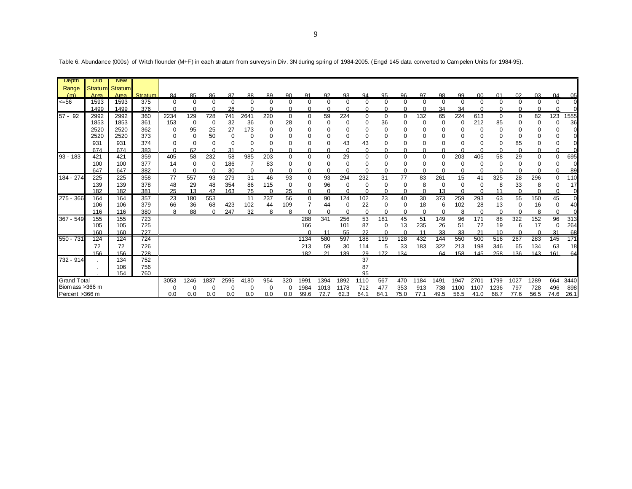| <b>Depth</b>       | Old        | New             |            |          |          |          |          |          |          |             |            |          |           |           |          |              |           |           |           |                |           |               |                |             |           |
|--------------------|------------|-----------------|------------|----------|----------|----------|----------|----------|----------|-------------|------------|----------|-----------|-----------|----------|--------------|-----------|-----------|-----------|----------------|-----------|---------------|----------------|-------------|-----------|
| Range              |            | Stratum Stratum |            |          |          |          |          |          |          |             |            |          |           |           |          |              |           |           |           |                |           |               |                |             |           |
| (m)                | Area       | Area            | Stratum    | 84       | 85       | 86       | 87       | 88       | 89       | 90          | 91         | 92       | 93        | 94        | 95       | 96           | 97        | 98        | 99        | 0 <sup>0</sup> | 01        | 02            | 03             | 04          | 05        |
| <=56               | 1593       | 1593            | 375        | 0        | $\Omega$ | $\Omega$ | $\Omega$ | $\Omega$ | $\Omega$ | $\Omega$    | $\Omega$   | $\Omega$ | $\Omega$  | $\Omega$  | $\Omega$ | $\Omega$     | $\Omega$  | $\Omega$  | $\Omega$  | $\Omega$       | $\Omega$  | $\mathbf 0$   | $\Omega$       | $\Omega$    |           |
|                    | 1499       | 1499            | 376        | U        |          |          | 26       |          |          |             |            |          |           | n         |          |              |           | 34        | 34        |                |           |               |                | ∩           |           |
| $57 - 92$          | 2992       | 2992            | 360        | 2234     | 129      | 728      | 741      | 2641     | 220      | $\mathbf 0$ | 0          | 59       | 224       | 0         | $\Omega$ | 0            | 132       | 65        | 224       | 613            | 0         | 0             | 82             | 123         | 555       |
|                    | 1853       | 1853            | 361        | 153      | $\Omega$ | 0        | 32       | 36       |          | 28          |            |          |           | $\Omega$  | 36       | O            |           | 0         | $\Omega$  | 212            | 85        | 0             | 0              | $\Omega$    | 36        |
|                    | 2520       | 2520            | 362        | 0        | 95       | 25       | 27       | 173      |          |             |            |          |           | 0         |          |              |           |           |           |                | 0         | 0             |                | $\Omega$    |           |
|                    | 2520       | 2520            | 373        | 0        |          | 50       |          | 0        |          |             |            |          |           | $\Omega$  |          |              |           |           |           |                |           | 0             |                | $\Omega$    |           |
|                    | 931        | 931             | 374        | 0        | $\Omega$ | 0        |          | 0        |          | $\Omega$    |            | $\Omega$ | 43        | 43        |          | O            |           | $\Omega$  | O         | 0              | O         | 85            |                | $\mathbf 0$ |           |
|                    | 674        | 674             | 383        | ∩        | 62       | $\Omega$ | 31       | $\Omega$ |          |             |            |          |           | ∩         |          | ∩            |           | C         |           | $\cap$         |           | $\cap$        |                | $\Omega$    |           |
| $93 - 183$         | 421        | 421             | 359        | 405      | 58       | 232      | 58       | 985      | 203      | $\Omega$    | $\Omega$   | $\Omega$ | 29        | $\Omega$  | $\Omega$ | $\Omega$     | $\Omega$  | $\Omega$  | 203       | 405            | 58        | 29            | $\Omega$       | $\Omega$    | 695       |
|                    | 100        | 100             | 377        | 14       |          | 0        | 186      |          | 83       |             |            | 0        |           | 0         |          | 0            |           |           |           | 0              |           | 0             |                | 0           |           |
|                    | 647        | 647             | 382        | $\Omega$ |          | $\Omega$ | 30       | $\Omega$ | $\Omega$ | $\Omega$    | $\Omega$   | $\Omega$ | $\Omega$  | $\Omega$  | $\cap$   | $\Omega$     | $\Omega$  | $\cap$    | $\Omega$  | $\Omega$       | $\Omega$  | $\Omega$      | ∩              | $\Omega$    | 89        |
| 184 - 274          | 225        | 225             | 358        | 77       | 557      | 93       | 279      | 31       | 46       | 93          | 0          | 93       | 294       | 232       | 31       | 77           | 83        | 261       | 15        | 41             | 325       | 28            | 296            | $\Omega$    | 110       |
|                    | 139        | 139             | 378        | 48       | 29       | 48       | 354      | 86       | 115      | $\Omega$    | $\Omega$   | 96       | 0         | 0         |          | 0            | 8         | 0         | 0         | 0              | 8         | 33            | 8              | 0           | -17       |
|                    | 182        | 182             | 381        | 25       | 13       | 42       | 163      | 75       | $\Omega$ | 25          | 0          | $\Omega$ | ∩         | $\Omega$  |          | $\Omega$     | $\Omega$  | 13        | $\Omega$  | $\Omega$       | 11        | $\Omega$      | O              | $\Omega$    | 0         |
| 275 - 366          | 164        | 164             | 357        | 23       | 180      | 553      |          | 11       | 237      | 56          | $\Omega$   | 90       | 124       | 102       | 23       | 40           | 30        | 373       | 259       | 293            | 63        | 55            | 150            | 45          | $\Omega$  |
|                    | 106        | 106             | 379        | 66       | 36       | 68       | 423      | 102      | 44       | 109         |            | 44       | 0         | 22        | 0        | 0            | 18        | 6         | 102       | 28             | 13        | 0             | 16             | 0           | 40        |
|                    | 116        | 116             | 380        | 8        | 88       | ∩        | 247      | 32       | 8        | 8           |            | $\cap$   |           | $\Omega$  |          | O            | $\Omega$  |           | 8         | $\Omega$       | $\Omega$  | $\Omega$      | 8              | ∩           |           |
| 367 - 549          | 155        | 155             | 723        |          |          |          |          |          |          |             | 288        | 341      | 256       | 53        | 181      | 45           | 51        | 149       | 96        | 171            | 88        | 322           | 152            | 96          | 313       |
|                    | 105        | 105             | 725        |          |          |          |          |          |          |             | 166        |          | 101       | 87        | $\Omega$ | 13<br>$\cap$ | 235       | 26        | 51        | 72             | 19        | 6             | 17<br>$\Omega$ | 0           | 264       |
| 550 - 731          | 160<br>124 | 160<br>124      | 727<br>724 |          |          |          |          |          |          |             | 1134       | 580      | 55<br>597 | 22<br>188 | 119      | 128          | 11<br>432 | 33<br>144 | 33<br>550 | 500            | 10<br>516 | $\cap$<br>267 | 283            | 31<br>145   | 68<br>171 |
|                    | 72         | 72              | 726        |          |          |          |          |          |          |             |            |          | 30        | 114       | 5        | 33           | 183       | 322       | 213       | 198            | 346       | 65            | 134            | 63          |           |
|                    | 156        | 156             | 728        |          |          |          |          |          |          |             | 213<br>182 | 59<br>21 | 139       | 29        | 172      | 134          |           | 64        | 158       | 145            | 258       | 136           | 143            | 161         | 18        |
| 732 - 914          |            | 134             | 752        |          |          |          |          |          |          |             |            |          |           | 37        |          |              |           |           |           |                |           |               |                |             | 64        |
|                    |            | 106             | 756        |          |          |          |          |          |          |             |            |          |           | 87        |          |              |           |           |           |                |           |               |                |             |           |
|                    |            | 154             | 760        |          |          |          |          |          |          |             |            |          |           | 95        |          |              |           |           |           |                |           |               |                |             |           |
| <b>Grand Total</b> |            |                 |            | 3053     | 1246     | 1837     | 2595     | 4180     | 954      | 320         | 1991       | 1394     | 1892      | 1110      | 567      | 470          | 1184      | 1491      | 1947      | 2701           | 1799      | 1027          | 1289           | 664         | 3440      |
| Biomass > 366 m    |            |                 |            | O        |          | $\Omega$ |          | O        | 0        | n           | 1984       | 1013     | 1178      | 712       | 477      | 353          | 913       | 738       | 1100      | 1107           | 1236      | 797           | 728            | 496         | 898       |
| Percent >366 m     |            |                 |            | 0.0      | 0.0      | 0.0      | 0.0      | 0.0      | 0.0      | 0.0         | 99.6       | 72.7     | 62.3      | 64.1      | 84.1     | 75.0         | 77.1      | 49.5      | 56.5      | 41.0           | 68.7      | 77.6          | 56.5           | 74.6        | 26.1      |
|                    |            |                 |            |          |          |          |          |          |          |             |            |          |           |           |          |              |           |           |           |                |           |               |                |             |           |

Table 6. Abundance (000s) of Witch flounder (M+F) in each stratum from surveys in Div. 3N during spring of 1984-2005. (Engel 145 data converted to Campelen Units for 1984-95).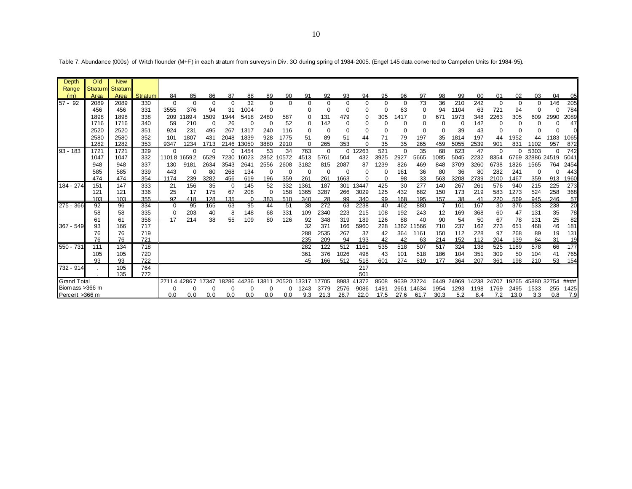| Depth              | Old                 | <b>New</b> |         |             |             |       |          |       |          |          |          |          |          |          |          |          |          |      |       |       |          |          |             |       |      |
|--------------------|---------------------|------------|---------|-------------|-------------|-------|----------|-------|----------|----------|----------|----------|----------|----------|----------|----------|----------|------|-------|-------|----------|----------|-------------|-------|------|
| Range              | Stratu <sub>m</sub> | Stratum    |         |             |             |       |          |       |          |          |          |          |          |          |          |          |          |      |       |       |          |          |             |       |      |
| (m)                | Area                | Area       | Stratum | 84          | 85          | 86    | 87       | 88    | 89       | 90       | 91       | 92       | 93       | 94       | 95       | 96       | 97       | 98   | 99    | 00    | 01       | 02       | 03          | 04    | 05   |
| 57 - 92            | 2089                | 2089       | 330     | $\mathbf 0$ | $\Omega$    | 0     | $\Omega$ | 32    | 0        | $\Omega$ | $\Omega$ | $\Omega$ |          | 0        | $\Omega$ | 0        | 73       | 36   | 210   | 242   | $\Omega$ | 0        | $\Omega$    | 146   | 205  |
|                    | 456                 | 456        | 331     | 3555        | 376         | 94    | 31       | 1004  | $\Omega$ |          |          | ∩        |          | $\Omega$ |          | 63       | $\Omega$ | 94   | 1104  | 63    | 721      | 94       |             | O     | 784  |
|                    | 1898                | 1898       | 338     | 209         | 1894        | 1509  | 1944     | 5418  | 2480     | 587      |          | 131      | 479      | 0        | 305      | 1417     |          | 671  | 1973  | 348   | 2263     | 305      | 609         | 2990  | 2089 |
|                    | 1716                | 1716       | 340     | 59          | 210         | 0     | 26       | O     | $\Omega$ | 52       | 0        | 142      |          | 0        |          | 0        |          |      | 0     | 142   |          | $\Omega$ |             |       | 47   |
|                    | 2520                | 2520       | 351     | 924         | 231         | 495   | 267      | 1317  | 240      | 116      |          |          |          | 0        |          | 0        |          |      | 39    | 43    |          | 0        |             |       |      |
|                    | 2580                | 2580       | 352     | 101         | 1807        | 431   | 2048     | 1839  | 928      | 1775     | 51       | 89       | 51       | 44       | 71       | 79       | 197      | 35   | 1814  | 197   | 44       | 1952     | 44          | 1183  | 1065 |
|                    | 1282                | 1282       | 353     | 9347        | 1234        | 1713  | 2146     | 3050  | 3880     | 2910     | $\Omega$ | 265      | 353      | $\Omega$ | 35       | 35       | 265      | 459  | 5055  | 2539  | 901      | 831      | 1102        | 957   | 872  |
| 93 - 183           | 1721                | 1721       | 329     | 0           | $\Omega$    | 0     | 0        | 1454  | 53       | 34       | 763      | $\Omega$ | $\Omega$ | 12263    | 521      | $\Omega$ | 35       | 68   | 623   | 47    | $\Omega$ | $\Omega$ | 5303        | 0     | 742  |
|                    | 1047                | 1047       | 332     |             | 11018 16592 | 6529  | 7230     | 16023 | 2852     | 10572    | 4513     | 5761     | 504      | 432      | 3925     | 2927     | 5665     | 1085 | 5045  | 2232  | 8354     | 6769     | 32886 24519 |       | 5041 |
|                    | 948                 | 948        | 337     | 130         | 9181        | 2634  | 3543     | 2641  | 2556     | 2608     | 3182     | 815      | 2087     | 87       | 1239     | 826      | 469      | 848  | 3709  | 3260  | 6738     | 1826     | 1565        | 764   | 2454 |
|                    | 585                 | 585        | 339     | 443         | $\Omega$    | 80    | 268      | 134   | $\Omega$ | 0        |          | $\Omega$ | 0        | 0        |          | 161      | 36       | 80   | 36    | 80    | 282      | 241      | 0           |       | 443  |
|                    | 474                 | 474        | 354     | 1174        | 239         | 3282  | 456      | 619   | 196      | 359      | 261      | 261      | 1663     |          |          | 98       | 33       | 563  | 3208  | 2739  | 2100     | 1467     | 359         | 913   | 1960 |
| 184 - 274          | 151                 | 147        | 333     | 21          | 156         | 35    | $\Omega$ | 145   | 52       | 332      | 1361     | 187      | 301      | 13447    | 425      | 30       | 277      | 140  | 267   | 261   | 576      | 940      | 215         | 225   | 273  |
|                    | 121                 | 121        | 336     | 25          | 17          | 175   | 67       | 208   | $\Omega$ | 158      | 1365     | 3287     | 266      | 3029     | 125      | 432      | 682      | 150  | 173   | 219   | 583      | 1273     | 524         | 258   | 368  |
|                    | 103                 | 103        | 355     | 92          | 418         | 128   | 135      | ∩     | 383      | 510      | 340      | 28       | 99       | 340      | 99       | 168      | 195      | 157  | 38    | 41    | 220      | 569      | 945         | 246   | 57   |
| 275 - 366          | 92                  | 96         | 334     | O           | 95          | 165   | 63       | 95    | 44       | 51       | 38       | 272      | 63       | 2238     | 40       | 462      | 880      |      | 161   | 167   | 30       | 376      | 533         | 238   | 20   |
|                    | 58                  | 58         | 335     | O           | 203         | 40    | 8        | 148   | 68       | 331      | 109      | 2340     | 223      | 215      | 108      | 192      | 243      | 12   | 169   | 368   | 60       | 47       | 131         | 35    | 78   |
|                    | 61                  | 61         | 356     | 17          | 214         | 38    | 55       | 109   | 80       | 126      | 92       | 348      | 319      | 189      | 126      | 88       | 40       | 90   | 54    | 50    | 67       | 78       | 131         | 25    | 82   |
| 367 - 549          | 93                  | 166        | 717     |             |             |       |          |       |          |          | 32       | 371      | 166      | 5960     | 228      | 1362     | 11566    | 710  | 237   | 162   | 273      | 651      | 468         | 46    | 181  |
|                    | 76                  | 76         | 719     |             |             |       |          |       |          |          | 288      | 2535     | 267      | 37       | 42       | 364      | 1161     | 150  | 112   | 228   | 97       | 268      | 89          | 19    | 131  |
|                    | 76                  | 76         | 721     |             |             |       |          |       |          |          | 235      | 209      | 94       | 193      | 42       | 42       | 63       | 214  | 152   | 112   | 204      | 139      | 84          | 31    | 19   |
| 550 - 731          | 111                 | 134        | 718     |             |             |       |          |       |          |          | 282      | 122      | 512      | 1161     | 535      | 518      | 507      | 517  | 324   | 138   | 525      | 1189     | 578         | 66    | 177  |
|                    | 105                 | 105        | 720     |             |             |       |          |       |          |          | 361      | 376      | 1026     | 498      | 43       | 101      | 518      | 186  | 104   | 351   | 309      | 50       | 104         | 41    | 765  |
|                    | 93                  | 93         | 722     |             |             |       |          |       |          |          | 45       | 166      | 512      | 518      | 601      | 274      | 819      | 177  | 364   | 207   | 361      | 198      | 210         | 53    | 154  |
| 732 - 914          |                     | 105        | 764     |             |             |       |          |       |          |          |          |          |          | 217      |          |          |          |      |       |       |          |          |             |       |      |
|                    |                     | 135        | 772     |             |             |       |          |       |          |          |          |          |          | 501      |          |          |          |      |       |       |          |          |             |       |      |
| <b>Grand Total</b> |                     |            |         | 27114       | 42867       | 17347 | 18286    | 44236 | 13811    | 20520    | 3317     | 17705    | 8983     | 41372    | 8508     | 9639     | 23724    | 6449 | 24969 | 14238 | 24707    | 19265    | 45880       | 32754 | #### |
| Biomass > 366 m    |                     |            |         |             |             |       |          |       |          |          | 1243     | 3779     | 2576     | 9086     | 149      | 2661     | 14634    | 1954 | 1293  | 1198  | 1769     | 2495     | 1533        | 255   | 1425 |
| Percent >366 m     |                     |            |         | 0.0         | 0.0         | 0.0   | 0.0      | 0.0   | 0.0      | 0.0      | 9.3      | 21.3     | 28.7     | 22.0     | 17.5     | 27.6     | 61.7     | 30.3 | 5.2   | 8.4   | 7.2      | 13.0     | 3.3         | 0.8   | 7.9  |

Table 7. Abundance (000s) of Witch flounder (M+F) in each stratum from surveys in Div. 3O during spring of 1984-2005. (Engel 145 data converted to Campelen Units for 1984-95).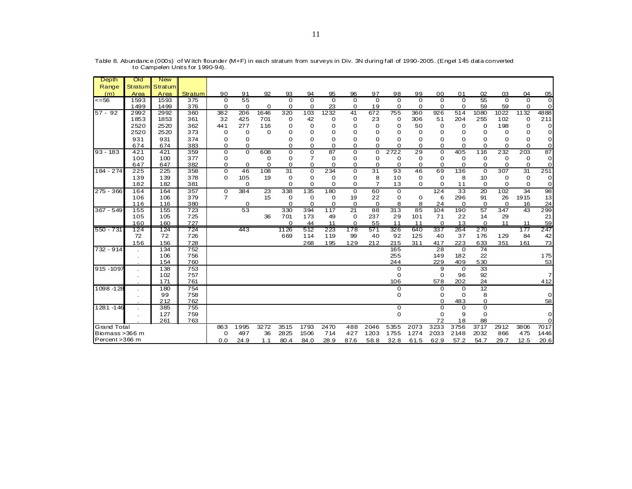| Depth                                                                                                                          | Old                     | <b>New</b>                                                                                                 |                                                                                                              |                           |                            |                   |                                          |                                                 |                                                |                                             |                                                |                                                                                                          |                                                 |                                                                                                                          |                                                                                                                             |                                                                                                                                            |                                         |                                               |                 |
|--------------------------------------------------------------------------------------------------------------------------------|-------------------------|------------------------------------------------------------------------------------------------------------|--------------------------------------------------------------------------------------------------------------|---------------------------|----------------------------|-------------------|------------------------------------------|-------------------------------------------------|------------------------------------------------|---------------------------------------------|------------------------------------------------|----------------------------------------------------------------------------------------------------------|-------------------------------------------------|--------------------------------------------------------------------------------------------------------------------------|-----------------------------------------------------------------------------------------------------------------------------|--------------------------------------------------------------------------------------------------------------------------------------------|-----------------------------------------|-----------------------------------------------|-----------------|
| Range                                                                                                                          |                         | Stratum Stratum                                                                                            |                                                                                                              |                           |                            |                   |                                          |                                                 |                                                |                                             |                                                |                                                                                                          |                                                 |                                                                                                                          |                                                                                                                             |                                                                                                                                            |                                         |                                               |                 |
| (m)                                                                                                                            | Area                    | Area                                                                                                       | Stratum                                                                                                      | 90                        | 91                         | 92                | 93                                       | 94                                              | 95                                             | 96                                          | 97                                             | 98                                                                                                       | 99                                              | 00                                                                                                                       | 01                                                                                                                          | 02                                                                                                                                         | 03                                      | 04                                            | 05              |
| $\overline{56}$                                                                                                                | 1593                    | 1593                                                                                                       | 375                                                                                                          | $\Omega$                  | 55                         |                   | $\Omega$                                 | $\Omega$                                        | $\Omega$                                       | $\overline{0}$                              | $\overline{0}$                                 | $\Omega$                                                                                                 | $\Omega$                                        | $\Omega$                                                                                                                 | $\Omega$                                                                                                                    | 55                                                                                                                                         | $\Omega$                                | $\Omega$                                      | $\Omega$        |
|                                                                                                                                | 1499                    | 1499                                                                                                       | 376                                                                                                          | $\mathbf 0$               | $\Omega$                   | 0                 | $\Omega$                                 | $\Omega$                                        | 23                                             | 0                                           | 19                                             | 0                                                                                                        | 0                                               | 0                                                                                                                        | 0                                                                                                                           | 59                                                                                                                                         | 59                                      | 0                                             | $\Omega$        |
| $57 - 92$                                                                                                                      | 2992                    | 2992                                                                                                       | 360                                                                                                          | 382                       | 206                        | 1646              | 320                                      | 103                                             | 1232                                           | 41                                          | 672                                            | 755                                                                                                      | 360                                             | 926                                                                                                                      | 514                                                                                                                         | 1080                                                                                                                                       | 1022                                    | 1132                                          | 4888            |
|                                                                                                                                | 1853                    | 1853                                                                                                       | 361                                                                                                          | 32                        | 425                        | 701               | 0                                        | 42                                              | 0                                              | $\mathbf 0$                                 | 23                                             | 0                                                                                                        | 306                                             | 51                                                                                                                       | 204                                                                                                                         | 255                                                                                                                                        | 102                                     | 0                                             | 211             |
|                                                                                                                                | 2520                    | 2520                                                                                                       | 362                                                                                                          | 441                       | 277                        | 116               | Ω                                        | $\Omega$                                        | $\Omega$                                       | 0                                           | 0                                              | $\Omega$                                                                                                 | 50                                              | 0                                                                                                                        | 0                                                                                                                           | 0                                                                                                                                          | 198                                     | 0                                             | $\Omega$        |
|                                                                                                                                | 2520                    | 2520                                                                                                       | 373                                                                                                          | 0                         | $\Omega$                   | $\Omega$          | Ω                                        | Ω                                               | Ω                                              | 0                                           | $\Omega$                                       | $\Omega$                                                                                                 | $\Omega$                                        | 0                                                                                                                        | $\Omega$                                                                                                                    | $\Omega$                                                                                                                                   | $\Omega$                                | $\Omega$                                      | $\Omega$        |
|                                                                                                                                | 931                     | 931                                                                                                        | 374                                                                                                          | Ω                         | $\Omega$                   |                   | Ω                                        | Ω                                               | Ω                                              | 0                                           | $\Omega$                                       | $\Omega$                                                                                                 | $\Omega$                                        | 0                                                                                                                        | $\Omega$                                                                                                                    | $\Omega$                                                                                                                                   | O                                       | 0                                             | 0               |
|                                                                                                                                | 674                     | 674                                                                                                        | 383                                                                                                          | O                         | $\Omega$                   |                   | $\Omega$                                 | O                                               | $\Omega$                                       | O                                           | 0                                              | $\Omega$                                                                                                 | $\Omega$                                        | 0                                                                                                                        | 0                                                                                                                           | $\Omega$                                                                                                                                   | $\Omega$                                | $\Omega$                                      | $\Omega$        |
| $93 - 183$                                                                                                                     | 421                     | 421                                                                                                        | 359                                                                                                          | $\mathbf 0$               | $\Omega$                   | 608               | 0                                        | $\mathbf 0$                                     | 87                                             | $\mathbf 0$                                 | $\mathbf 0$                                    | 2722                                                                                                     | 29                                              | 0                                                                                                                        | 405                                                                                                                         | 116                                                                                                                                        | 232                                     | 203                                           | $\overline{87}$ |
|                                                                                                                                | 100                     | 100                                                                                                        | 377                                                                                                          | 0                         |                            | 0                 | 0                                        | 7                                               | 0                                              | 0                                           | 0                                              | 0                                                                                                        | 0                                               | 0                                                                                                                        | 0                                                                                                                           | 0                                                                                                                                          | 0                                       | 0                                             | $\Omega$        |
|                                                                                                                                | 647                     | 647                                                                                                        | 382                                                                                                          | O                         | $\Omega$                   | $\Omega$          | $\Omega$                                 | $\Omega$                                        | 0                                              | 0                                           | 0                                              | $\Omega$                                                                                                 | $\Omega$                                        | 0                                                                                                                        | 0                                                                                                                           | $\Omega$                                                                                                                                   | 0                                       | $\Omega$                                      | $\Omega$        |
| 184 - 274                                                                                                                      | 225                     | 225                                                                                                        | 358                                                                                                          | $\Omega$                  | 46                         | 108               | 31                                       | $\Omega$                                        | 234                                            | 0                                           | 31                                             | 93                                                                                                       | 46                                              | 69                                                                                                                       | 136                                                                                                                         | $\Omega$                                                                                                                                   | 307                                     | 31                                            | 251             |
|                                                                                                                                | 139                     | 139                                                                                                        | 378                                                                                                          | $\Omega$                  | 105                        | 19                | $\Omega$                                 | 0                                               | 0                                              | 0                                           | 8                                              | 10                                                                                                       | 0                                               | 0                                                                                                                        | 8                                                                                                                           | 10                                                                                                                                         | 0                                       | 0                                             | 0               |
|                                                                                                                                | 182                     | 182                                                                                                        | 381                                                                                                          |                           | 0                          |                   | $\Omega$                                 | 0                                               | $\Omega$                                       | 0                                           | $\overline{7}$                                 | 13                                                                                                       | $\Omega$                                        | $\Omega$                                                                                                                 | 11                                                                                                                          | $\Omega$                                                                                                                                   | $\Omega$                                | $\Omega$                                      | 0               |
| $275 - 366$                                                                                                                    | 164                     | 164                                                                                                        | 357                                                                                                          | $\mathbf 0$               | 384                        | 23                | 338                                      | 135                                             | 180                                            | $\overline{0}$                              | 60                                             | 0                                                                                                        |                                                 | 124                                                                                                                      | 33                                                                                                                          | 20                                                                                                                                         | 102                                     | 34                                            | 98              |
|                                                                                                                                | 106                     | 106                                                                                                        | 379                                                                                                          | $\overline{7}$            |                            | 15                | 0                                        | 0                                               | $\mathbf 0$                                    | 19                                          | 22                                             | 0                                                                                                        | 0                                               | 6                                                                                                                        | 296                                                                                                                         | 91                                                                                                                                         | 26                                      | 1915                                          | 13              |
|                                                                                                                                | 116                     | 116                                                                                                        | 380                                                                                                          |                           | $\Omega$                   |                   | $\Omega$                                 | $\Omega$                                        | 0                                              | $\Omega$                                    | 0                                              | 8                                                                                                        | 8                                               | 24                                                                                                                       | 0                                                                                                                           | $\Omega$                                                                                                                                   | $\Omega$                                | 16                                            | 24              |
| $367 - 549$                                                                                                                    | 155                     | 155                                                                                                        | 723                                                                                                          |                           | 53                         |                   | 330                                      | 394                                             | 117                                            | 21                                          | 88                                             | 313                                                                                                      | 85                                              | 104                                                                                                                      | 190                                                                                                                         | 57                                                                                                                                         | 347                                     | 43                                            | 299             |
|                                                                                                                                | 105                     | 105                                                                                                        | 725                                                                                                          |                           |                            | 36                | 701                                      | 173                                             | 49                                             | $\mathbf 0$                                 | 237                                            | 29                                                                                                       | 101                                             | 71                                                                                                                       | 22                                                                                                                          | 14                                                                                                                                         | 29                                      |                                               | 21              |
|                                                                                                                                |                         |                                                                                                            |                                                                                                              |                           |                            |                   |                                          |                                                 |                                                |                                             |                                                |                                                                                                          |                                                 |                                                                                                                          |                                                                                                                             |                                                                                                                                            |                                         |                                               | 59              |
|                                                                                                                                |                         |                                                                                                            |                                                                                                              |                           |                            |                   |                                          |                                                 |                                                |                                             |                                                |                                                                                                          |                                                 |                                                                                                                          |                                                                                                                             |                                                                                                                                            |                                         |                                               |                 |
|                                                                                                                                |                         |                                                                                                            |                                                                                                              |                           |                            |                   |                                          |                                                 |                                                |                                             |                                                |                                                                                                          |                                                 |                                                                                                                          |                                                                                                                             |                                                                                                                                            |                                         |                                               | 42              |
|                                                                                                                                |                         |                                                                                                            |                                                                                                              |                           |                            |                   |                                          |                                                 |                                                |                                             |                                                |                                                                                                          |                                                 |                                                                                                                          |                                                                                                                             |                                                                                                                                            |                                         |                                               | 73              |
|                                                                                                                                |                         |                                                                                                            |                                                                                                              |                           |                            |                   |                                          |                                                 |                                                |                                             |                                                |                                                                                                          |                                                 |                                                                                                                          |                                                                                                                             |                                                                                                                                            |                                         |                                               |                 |
|                                                                                                                                |                         |                                                                                                            |                                                                                                              |                           |                            |                   |                                          |                                                 |                                                |                                             |                                                |                                                                                                          |                                                 |                                                                                                                          |                                                                                                                             |                                                                                                                                            |                                         |                                               |                 |
|                                                                                                                                |                         |                                                                                                            |                                                                                                              |                           |                            |                   |                                          |                                                 |                                                |                                             |                                                |                                                                                                          |                                                 |                                                                                                                          |                                                                                                                             |                                                                                                                                            |                                         |                                               | 53              |
|                                                                                                                                |                         |                                                                                                            |                                                                                                              |                           |                            |                   |                                          |                                                 |                                                |                                             |                                                |                                                                                                          |                                                 |                                                                                                                          |                                                                                                                             |                                                                                                                                            |                                         |                                               | $\overline{7}$  |
|                                                                                                                                |                         |                                                                                                            |                                                                                                              |                           |                            |                   |                                          |                                                 |                                                |                                             |                                                |                                                                                                          |                                                 |                                                                                                                          |                                                                                                                             |                                                                                                                                            |                                         |                                               | 412             |
|                                                                                                                                |                         |                                                                                                            |                                                                                                              |                           |                            |                   |                                          |                                                 |                                                |                                             |                                                |                                                                                                          |                                                 |                                                                                                                          |                                                                                                                             |                                                                                                                                            |                                         |                                               |                 |
|                                                                                                                                |                         |                                                                                                            |                                                                                                              |                           |                            |                   |                                          |                                                 |                                                |                                             |                                                |                                                                                                          |                                                 |                                                                                                                          |                                                                                                                             |                                                                                                                                            |                                         |                                               | 0               |
|                                                                                                                                |                         |                                                                                                            |                                                                                                              |                           |                            |                   |                                          |                                                 |                                                |                                             |                                                |                                                                                                          |                                                 |                                                                                                                          |                                                                                                                             |                                                                                                                                            |                                         |                                               | 58              |
|                                                                                                                                |                         |                                                                                                            |                                                                                                              |                           |                            |                   |                                          |                                                 |                                                |                                             |                                                |                                                                                                          |                                                 |                                                                                                                          |                                                                                                                             |                                                                                                                                            |                                         |                                               |                 |
|                                                                                                                                |                         |                                                                                                            |                                                                                                              |                           |                            |                   |                                          |                                                 |                                                |                                             |                                                |                                                                                                          |                                                 |                                                                                                                          |                                                                                                                             |                                                                                                                                            |                                         |                                               | $\Omega$        |
|                                                                                                                                |                         |                                                                                                            |                                                                                                              |                           |                            |                   |                                          |                                                 |                                                |                                             |                                                |                                                                                                          |                                                 |                                                                                                                          |                                                                                                                             |                                                                                                                                            |                                         |                                               | 0               |
|                                                                                                                                |                         |                                                                                                            |                                                                                                              |                           |                            |                   |                                          |                                                 |                                                |                                             |                                                |                                                                                                          |                                                 |                                                                                                                          |                                                                                                                             |                                                                                                                                            |                                         |                                               | 7017            |
|                                                                                                                                |                         |                                                                                                            |                                                                                                              |                           |                            |                   |                                          |                                                 |                                                |                                             |                                                |                                                                                                          |                                                 |                                                                                                                          |                                                                                                                             |                                                                                                                                            |                                         |                                               | 1446            |
|                                                                                                                                |                         |                                                                                                            |                                                                                                              |                           |                            |                   |                                          |                                                 |                                                |                                             |                                                |                                                                                                          |                                                 |                                                                                                                          |                                                                                                                             |                                                                                                                                            |                                         |                                               | 20.6            |
| 550 - 731<br>$732 - 914$<br>915 - 1097<br>$1098 - 128$<br>1281-146<br><b>Grand Total</b><br>Biomass > 366 m<br>Percent > 366 m | 160<br>124<br>72<br>156 | 160<br>124<br>72<br>156<br>134<br>106<br>154<br>138<br>102<br>171<br>180<br>99<br>212<br>385<br>127<br>261 | 727<br>724<br>726<br>728<br>752<br>756<br>760<br>753<br>757<br>761<br>754<br>758<br>762<br>755<br>759<br>763 | 863<br>$\mathbf 0$<br>0.0 | 443<br>1995<br>497<br>24.9 | 3272<br>36<br>1.1 | Ω<br>1126<br>669<br>3515<br>2825<br>80.4 | 44<br>512<br>114<br>268<br>1793<br>1506<br>84.0 | 11<br>223<br>119<br>195<br>2470<br>714<br>28.9 | 0<br>178<br>99<br>129<br>488<br>427<br>87.6 | 55<br>571<br>40<br>212<br>2046<br>1203<br>58.8 | 11<br>326<br>92<br>215<br>165<br>255<br>244<br>0<br>0<br>106<br>0<br>0<br>0<br>0<br>5355<br>1755<br>32.8 | 11<br>640<br>125<br>311<br>2073<br>1274<br>61.5 | 0<br>337<br>40<br>417<br>28<br>149<br>229<br>9<br>0<br>578<br>0<br>0<br>$\Omega$<br>0<br>0<br>72<br>3233<br>2033<br>62.9 | 13<br>264<br>37<br>223<br>$\Omega$<br>182<br>409<br>0<br>96<br>202<br>0<br>0<br>483<br>0<br>9<br>18<br>3756<br>2148<br>57.2 | 0<br>270<br>176<br>633<br>$\overline{74}$<br>22<br>530<br>33<br>92<br>24<br>12<br>8<br>$\mathbf 0$<br>0<br>0<br>88<br>3717<br>2032<br>54.7 | 11<br>129<br>351<br>2912<br>866<br>29.7 | 11<br>177<br>84<br>161<br>3806<br>475<br>12.5 | 247<br>175      |

Table 8. Abundance (000s) of W itch flounder (M+F) in each stratum from surveys in Div. 3N during fall of 1990-2005. (Engel 145 data converted to Campelen Units for 1990-94).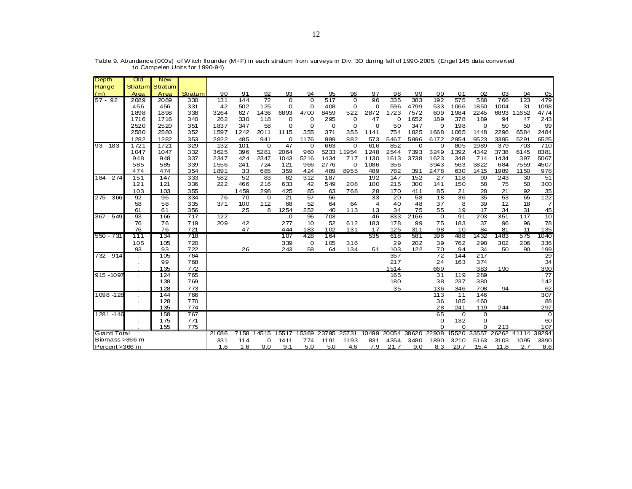| <b>Depth</b>       | Old     | <b>New</b> |                |       |                 |                |                 |                |             |                |                         |             |       |             |             |            |       |            |                |
|--------------------|---------|------------|----------------|-------|-----------------|----------------|-----------------|----------------|-------------|----------------|-------------------------|-------------|-------|-------------|-------------|------------|-------|------------|----------------|
| Range              | Stratum | Stratum    |                |       |                 |                |                 |                |             |                |                         |             |       |             |             |            |       |            |                |
| (m)                | Area    | Area       | <b>Stratum</b> | 90    | 91              | 92             | 93              | 94             | 95          | 96             | 97                      | 98          | 99    | 00          | 01          | 02         | 03    | 04         | 05             |
| $57 - 92$          | 2089    | 2089       | 330            | 131   | 144             | 72             | $\overline{0}$  | $\Omega$       | 517         | $\overline{0}$ | 96                      | 335         | 383   | 192         | 575         | 588        | 766   | 123        | 479            |
|                    | 456     | 456        | 331            | 42    | 502             | 125            | $\Omega$        | $\Omega$       | 408         | $\mathbf 0$    | $\Omega$                | 596         | 4799  | 533         | 1066        | 1850       | 1004  | 31         | 1098           |
|                    | 1898    | 1898       | 338            | 3264  | 627             | 1436           | 6893            | 4700           | 8459        | 522            | 2872                    | 1723        | 7572  | 609         | 1984        | 2245       |       | 6893 11652 | 4774           |
|                    | 1716    | 1716       | 340            | 262   | 330             | 118            | $\mathbf 0$     | $\Omega$       | 295         | $\mathbf 0$    | 47                      | $\Omega$    | 1652  | 189         | 378         | 189        | 94    | 47         | 243            |
|                    | 2520    | 2520       | 351            | 1837  | 347             | 58             | $\Omega$        | $\overline{0}$ | $\mathbf 0$ | $\mathbf 0$    | $\Omega$                | 50          | 347   | $\mathbf 0$ | 198         | 0          | 50    | 50         | 99             |
|                    | 2580    | 2580       | 352            | 1597  | 1242            | 2011           | 1115            | 355            | 371         | 355            | 1141                    | 754         | 1825  | 1668        | 1065        | 1448       | 2296  | 6584       | 2484           |
|                    | 1282    | 1282       | 353            | 2822  | 485             | 941            | 0               | 1176           | 999         | 882            | 573                     | 5467        | 5996  | 6172        | 2954        | 9523       | 3395  | 5291       | 6525           |
| $93 - 183$         | 1721    | 1721       | 329            | 132   | 101             | $\overline{0}$ | 47              | $\mathbf 0$    | 663         | $\overline{0}$ | 616                     | 852         | 0     | 0           | 805         | 1989       | 379   | 703        | 710            |
|                    | 1047    | 1047       | 332            | 3625  | 396             | 5281           | 2064            | 960            | 5233        | 11954          | 1248                    | 2544        | 7393  | 3249        | 1392        | 4342       | 3738  | 6145       | 8381           |
|                    | 948     | 948        | 337            | 2347  | 424             | 2347           | 1043            | 5216           | 1434        | 717            | 1130                    | 1613        | 3738  | 1623        | 348         | 714        | 1434  | 397        | 5067           |
|                    | 585     | 585        | 339            | 1556  | 241             | 724            | 121             | 966            | 2776        | 0              | 1086                    | 356         |       | 3943        | 563         | 3822       | 684   | 7559       | 4507           |
|                    | 474     | 474        | 354            | 1891  | 33              | 685            | 359             | 424            | 489         | 8955           | 489                     | 782         | 391   | 2478        | 630         | 1415       | 1989  | 1150       | 978            |
| 184 - 274          | 151     | 147        | 333            | 582   | 52              | 83             | 62              | 312            | 187         |                | 192                     | 147         | 152   | 27          | 118         | 90         | 243   | 30         | 51             |
|                    | 121     | 121        | 336            | 222   | 466             | 216            | 633             | 42             | 549         | 208            | 100                     | 215         | 300   | 141         | 150         | 58         | 75    | 50         | 300            |
|                    | 103     | 103        | 355            |       | 1459            | 298            | 425             | 85             | 63          | 768            | 28                      | 170         | 411   | 85          | 21          | 28         | 21    | 92         | 35             |
| 275 - 366          | 92      | 96         | 334            | 76    | $\overline{70}$ | $\mathbf 0$    | $\overline{21}$ | 57             | 56          |                | $\overline{33}$         | 20          | 58    | 18          | 36          | 35         | 53    | 65         | 122            |
|                    | 58      | 58         | 335            | 371   | 100             | 112            | 68              | 52             | 64          | 64             | $\overline{\mathbf{4}}$ | 40          | 48    | 37          | 8           | 39         | 12    | 18         | $\overline{7}$ |
|                    | 61      | 61         | 356            |       | 25              | 8              | 1254            | 252            | 40          | 113            | 13                      | 34          | 75    | 55          | 19          | 17         | 34    | 31         | 45             |
| $367 - 549$        | 93      | 166        | 717            | 122   |                 |                | 0               | 96             | 703         |                | 46                      | 833         | 2166  | 0           | 91          | 203        | 351   | 117        | 10             |
|                    | 76      | 76         | 719            | 209   | 42              |                | 277             | 10             | 52          | 612            | 183                     | 178         | 99    | 75          | 183         | 37         | 96    | 96         | 78             |
|                    | 76      | 76         | 721            |       | 47              |                | 444             | 183            | 102         | 131            | 17                      | 125         | 311   | 98          | 10          | 84         | 81    | 11         | 135            |
| 550 - 731          | 111     | 134        | 718            |       |                 |                | 107             | 428            | 164         |                | 535                     | 618         | 581   | 396         | 488         | 1432       | 1483  | 575        | 1040           |
|                    | 105     | 105        | 720            |       |                 |                | 339             | 0              | 105         | 316            |                         | 29          | 202   | 39          | 762         | 298        | 302   | 206        | 336            |
|                    | 93      | 93         | 722            |       | 26              |                | 243             | 58             | 64          | 134            | 51                      | 103         | 122   | 70<br>72    | 94          | 34<br>217  | 50    | 90         | 199            |
| 732 - 914          |         | 105        | 764            |       |                 |                |                 |                |             |                |                         | 357         |       | 24          | 144         |            |       |            | 29             |
|                    |         | 99<br>135  | 768<br>772     |       |                 |                |                 |                |             |                |                         | 217<br>1514 |       | 669         | 163         | 374<br>383 | 190   |            | 34<br>390      |
| 915 - 1097         |         | 124        | 765            |       |                 |                |                 |                |             |                |                         | 165         |       | 31          | 119         | 289        |       |            | 77             |
|                    |         | 138        | 769            |       |                 |                |                 |                |             |                |                         | 180         |       | 38          | 237         | 380        |       |            | 142            |
|                    |         | 128        | 773            |       |                 |                |                 |                |             |                |                         | 35          |       | 136         | 346         | 708        |       |            | 62             |
| 1098 - 128         |         | 144        | 766            |       |                 |                |                 |                |             |                |                         |             |       | 113         | 11          | 146        | 94    |            | 307            |
|                    |         | 128        | 770            |       |                 |                |                 |                |             |                |                         |             |       | 36          | 185         | 460        |       |            | 88             |
|                    |         | 135        | 774            |       |                 |                |                 |                |             |                |                         |             |       | 28          | 241         | 119        | 244   |            | 297            |
| 1281-146           |         | 158        | 767            |       |                 |                |                 |                |             |                |                         |             |       | 65          | $\mathbf 0$ | 0          |       |            | $\Omega$       |
|                    |         | 175        | 771            |       |                 |                |                 |                |             |                |                         |             |       | 0           | 132         | $\Omega$   |       |            | 60             |
|                    |         | 155        | 775            |       |                 |                |                 |                |             |                |                         |             |       | $\Omega$    | $\Omega$    | $\Omega$   | 213   |            | 107            |
| <b>Grand Total</b> |         |            |                | 21086 | 7158            | 14515          | 5517            | 15369          | 23795       | 25731          | 10499                   | 20054       | 38620 | 22908       | 15520       | 33557      | 26262 | 41114      | 39294          |
| Biomass > 366 m    |         |            |                | 331   | 114             | $\Omega$       | 1411            | 774            | 1191        | 1193           | 831                     | 4354        | 3480  | 1890        | 3210        | 5163       | 3103  | 1095       | 3390           |
| Percent > 366 m    |         |            |                | 1.6   | 1.6             | 0.0            | 9.1             | 5.0            | 5.0         | 4.6            | 7.9                     | 21.7        | 9.0   | 8.3         | 20.7        | 15.4       | 11.8  | 2.7        | 8.6            |
|                    |         |            |                |       |                 |                |                 |                |             |                |                         |             |       |             |             |            |       |            |                |

Table 9. Abundance (000s) of W itch flounder (M+F) in each stratum from surveys in Div. 3O during fall of 1990-2005. (Engel 145 data converted to Campelen Units for 1990-94).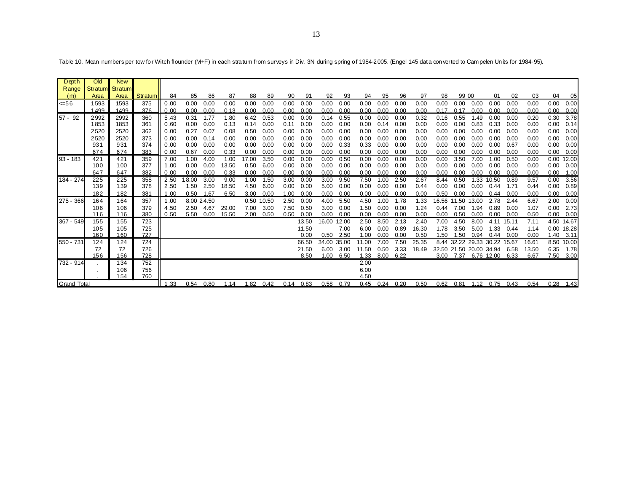| Depth              | Old     | <b>New</b> |         |      |       |            |       |       |            |      |       |             |      |       |      |      |       |       |                              |       |            |       |       |      |            |
|--------------------|---------|------------|---------|------|-------|------------|-------|-------|------------|------|-------|-------------|------|-------|------|------|-------|-------|------------------------------|-------|------------|-------|-------|------|------------|
| Range              | Stratum | Stratum    |         |      |       |            |       |       |            |      |       |             |      |       |      |      |       |       |                              |       |            |       |       |      |            |
| (m)                | Area    | Area       | Stratum | 84   | 85    | 86         | 87    | 88    | -89        | 90   | 91    | 92          | 93   | 94    | 95   | 96   | 97    | 98    | 99 00                        |       | 01         | 02    | 03    | 04   | 05         |
| 56                 | 1593    | 1593       | 375     | 0.00 | 0.00  | 0.00       | 0.00  | 0.00  | 0.00       | 0.00 | 0.00  | 0.00        | 0.00 | 0.00  | 0.00 | 0.00 | 0.00  | 0.00  | 0.00                         | 0.00  | 0.00       | 0.00  | 0.00  | 0.00 | 0.00       |
|                    | 1499    | 1499       | 376     | 0.00 | 0.00  | 0.00       | 0.13  | 0.00  | 0.00       | 0.00 | 0.00  | 0.00        | 0.00 | 0.00  | 0.00 | 0.00 | 0.00  | 0.17  | 0.17                         | 0.00  | 0.00       | 0.00  | 0.00  | 0.00 | 0.00       |
| $57 - 92$          | 2992    | 2992       | 360     | 5.43 | 0.31  | 1.77       | 1.80  | 6.42  | 0.53       | 0.00 | 0.00  | 0.14        | 0.55 | 0.00  | 0.00 | 0.00 | 0.32  | 0.16  | 0.55                         | 1.49  | 0.00       | 0.00  | 0.20  | 0.30 | 3.78       |
|                    | 1853    | 1853       | 361     | 0.60 | 0.00  | 0.00       | 0.13  | 0.14  | 0.00       | 0.11 | 0.00  | 0.00        | 0.00 | 0.00  | 0.14 | 0.00 | 0.00  | 0.00  | 0.00                         | 0.83  | 0.33       | 0.00  | 0.00  | 0.00 | 0.14       |
|                    | 2520    | 2520       | 362     | 0.00 | 0.27  | 0.07       | 0.08  | 0.50  | 0.00       | 0.00 | 0.00  | 0.00        | 0.00 | 0.00  | 0.00 | 0.00 | 0.00  | 0.00  | 0.00                         | 0.00  | 0.00       | 0.00  | 0.00  | 0.00 | 0.00       |
|                    | 2520    | 2520       | 373     | 0.00 | 0.00  | 0.14       | 0.00  | 0.00  | 0.00       | 0.00 | 0.00  | 0.00        | 0.00 | 0.00  | 0.00 | 0.00 | 0.00  | 0.00  | 0.00                         | 0.00  | 0.00       | 0.00  | 0.00  | 0.00 | 0.00       |
|                    | 931     | 931        | 374     | 0.00 | 0.00  | 0.00       | 0.00  | 0.00  | 0.00       | 0.00 | 0.00  | 0.00        | 0.33 | 0.33  | 0.00 | 0.00 | 0.00  | 0.00  | 0.00                         | 0.00  | 0.00       | 0.67  | 0.00  | 0.00 | 0.00       |
|                    | 674     | 674        | 383     | 0.00 | 0.67  | 0.00       | 0.33  | 0.00  | 0.00       | 0.00 | 0.00  | 0.00        | 0.00 | 0.00  | 0.00 | 0.00 | 0.00  | 0.00  | 0.00                         | 0.00  | 0.00       | 0.00  | 0.00  | 0.00 | 0.00       |
| $93 - 183$         | 421     | 421        | 359     | 7.00 | 1.00  | 4.00       | 1.00  | 17.00 | 3.50       | 0.00 | 0.00  | 0.00        | 0.50 | 0.00  | 0.00 | 0.00 | 0.00  | 0.00  | 3.50                         | 7.00  | 1.00       | 0.50  | 0.00  | 0.00 | 12.00      |
|                    | 100     | 100        | 377     | 1.00 | 0.00  | 0.00       | 13.50 | 0.50  | 6.00       | 0.00 | 0.00  | 0.00        | 0.00 | 0.00  | 0.00 | 0.00 | 0.00  | 0.00  | 0.00                         | 0.00  | 0.00       | 0.00  | 0.00  | 0.00 | 0.00       |
|                    | 647     | 647        | 382     | 0.00 | 0.00  | 0.00       | 0.33  | 0.00  | 0.00       | 0.00 | 0.00  | 0.00        | 0.00 | 0.00  | 0.00 | 0.00 | 0.00  | 0.00  | 0.00                         | 0.00  | 0.00       | 0.00  | 0.00  | 0.00 | 1.00       |
| 184 - 274          | 225     | 225        | 358     | 2.50 | 18.00 | 3.00       | 9.00  | 1.00  | 1.50       | 3.00 | 0.00  | 3.00        | 9.50 | 7.50  | 1.00 | 2.50 | 2.67  | 8.44  | 0.50                         | 1.33  | 10.50      | 0.89  | 9.57  | 0.00 | 3.56       |
|                    | 139     | 139        | 378     | 2.50 | 1.50  | 2.50       | 18.50 | 4.50  | 6.00       | 0.00 | 0.00  | 5.00        | 0.00 | 0.00  | 0.00 | 0.00 | 0.44  | 0.00  | 0.00                         | 0.00  | 0.44       | 1.71  | 0.44  | 0.00 | 0.89       |
|                    | 182     | 182        | 381     | 1.00 | 0.50  | 1.67       | 6.50  | 3.00  | 0.00       | 1.00 | 0.00  | 0.00        | 0.00 | 0.00  | 0.00 | 0.00 | 0.00  | 0.50  | 0.00                         | 0.00  | 0.44       | 0.00  | 0.00  | 0.00 | 0.00       |
| 275 - 366          | 164     | 164        | 357     | 1.00 |       | 8.00 24.50 |       |       | 0.50 10.50 | 2.50 | 0.00  | 4.00        | 5.50 | 4.50  | 1.00 | 1.78 | 1.33  | 16.56 | 11.50                        | 13.00 | 2.78       | 2.44  | 6.67  | 2.00 | 0.00       |
|                    | 106     | 106        | 379     | 4.50 | 2.50  | 4.67       | 29.00 | 7.00  | 3.00       | 7.50 | 0.50  | 3.00        | 0.00 | 1.50  | 0.00 | 0.00 | 1.24  | 0.44  | 7.00                         | 1.94  | 0.89       | 0.00  | 1.07  | 0.00 | 2.73       |
|                    | 116     | 116        | 380     | 0.50 | 5.50  | 0.00       | 15.50 | 2.00  | 0.50       | 0.50 | 0.00  | 0.00        | 0.00 | 0.00  | 0.00 | 0.00 | 0.00  | 0.00  | 0.50                         | 0.00  | 0.00       | 0.00  | 0.50  | 0.00 | 0.00       |
| 367 - 549          | 155     | 155        | 723     |      |       |            |       |       |            |      | 13.50 | 16.00 12.00 |      | 2.50  | 8.50 | 2.13 | 2.40  | 7.00  | 4.50                         | 8.00  | 4.11       | 15.11 | 7.11  |      | 4.50 14.67 |
|                    | 105     | 105        | 725     |      |       |            |       |       |            |      | 11.50 |             | 7.00 | 6.00  | 0.00 | 0.89 | 16.30 | 1.78  | 3.50                         | 5.00  | 1.33       | 0.44  | 1.14  |      | 0.00 18.28 |
|                    | 160     | 160        | 727     |      |       |            |       |       |            |      | 0.00  | 0.50        | 2.50 | 1.00  | 0.00 | 0.00 | 0.50  | 1.50  | 1.50                         | 0.94  | 0.44       | 0.00  | 0.00  | 1.40 | 3.11       |
| 550 - 731          | 124     | 124        | 724     |      |       |            |       |       |            |      | 66.50 | 34.00 35.00 |      | 11.00 | 7.00 | 7.50 | 25.35 |       | 8.44 32.22 29.33 30.22 15.67 |       |            |       | 16.6' |      | 8.50 10.00 |
|                    | 72      | 72         | 726     |      |       |            |       |       |            |      | 21.50 | 6.00        | 3.00 | 11.50 | 0.50 | 3.33 | 18.49 |       | 32.50 21.50 20.00 34.94      |       |            | 6.58  | 13.50 | 6.35 | 1.78       |
|                    | 156     | 156        | 728     |      |       |            |       |       |            |      | 8.50  | 1.00        | 6.50 | 1.33  | 8.00 | 6.22 |       | 3.00  | 7.37                         |       | 6.76 12.00 | 6.33  | 6.67  | 7.50 | 3.00       |
| 732 - 914          |         | 134        | 752     |      |       |            |       |       |            |      |       |             |      | 2.00  |      |      |       |       |                              |       |            |       |       |      |            |
|                    |         | 106        | 756     |      |       |            |       |       |            |      |       |             |      | 6.00  |      |      |       |       |                              |       |            |       |       |      |            |
|                    |         | 154        | 760     |      |       |            |       |       |            |      |       |             |      | 4.50  |      |      |       |       |                              |       |            |       |       |      |            |
| <b>Grand Total</b> |         |            |         | 1.33 | 0.54  | 0.80       | 1.14  | 1.82  | 0.42       | 0.14 | 0.83  | 0.58        | 0.79 | 0.45  | 0.24 | 0.20 | 0.50  | 0.62  | 0.81                         | 1.12  | 0.75       | 0.43  | 0.54  | 0.28 | 1.43       |

Table 10. Mean numbers per tow for Witch flounder (M+F) in each stratum from surveys in Div. 3N during spring of 1984-2005. (Engel 145 data converted to Campelen Units for 1984-95).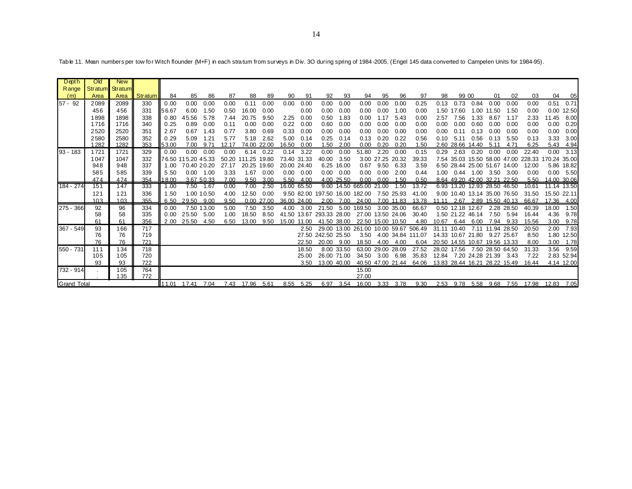| Depth              | Old             | <b>New</b> |         |               |                    |             |       |              |            |       |             |                          |             |                                       |      |                   |                   |       |                               |      |                       |            |                                           |              |             |
|--------------------|-----------------|------------|---------|---------------|--------------------|-------------|-------|--------------|------------|-------|-------------|--------------------------|-------------|---------------------------------------|------|-------------------|-------------------|-------|-------------------------------|------|-----------------------|------------|-------------------------------------------|--------------|-------------|
| Range              | Stratum Stratum |            |         |               |                    |             |       |              |            |       |             |                          |             |                                       |      |                   |                   |       |                               |      |                       |            |                                           |              |             |
| (m)                | Area            | Area       | Stratum | 84            | 85                 | 86          | 87    | 88           | 89         | 90    | 91          | 92                       | 93          | 94                                    | 95   | 96                | 97                | 98    | 99 00                         |      | 01                    | 02         | 03                                        | 04           | 05          |
| $57 - 92$          | 2089            | 2089       | 330     | 0.00          | 0.00               | 0.00        | 0.00  | 0.11         | 0.00       | 0.00  | 0.00        | 0.00                     | 0.00        | 0.00                                  | 0.00 | 0.00              | 0.25              | 0.13  | 0.73                          | 0.84 | 0.00                  | 0.00       | 0.00                                      | 0.51         | 0.71        |
|                    | 456             | 456        | 331     | 56.67         | 6.00               | 1.50        | 0.50  | 16.00        | 0.00       |       | 0.00        | 0.00                     | 0.00        | 0.00                                  | 0.00 | 1.00              | 0.00              | 1.50  | 17.60                         | 1.00 | 11.50                 | 1.50       | 0.00                                      | 0.00         | 12.50       |
|                    | 1898            | 1898       | 338     | 0.80          | 45.56              | 5.78        | 7.44  | 20.75        | 9.50       | 2.25  | 0.00        | 0.50                     | 1.83        | 0.00                                  | 1.17 | 5.43              | 0.00              | 2.57  | 7.56                          | 1.33 | 8.67                  | 1.17       | 2.33                                      | 11.45        | 8.00        |
|                    | 1716            | 1716       | 340     | 0.25          | 0.89               | 0.00        | 0.11  | 0.00         | 0.00       | 0.22  | 0.00        | 0.60                     | 0.00        | 0.00                                  | 0.00 | 0.00              | 0.00              | 0.00  | 0.00                          | 0.60 | 0.00                  | 0.00       | 0.00                                      | 0.00         | 0.20        |
|                    | 2520            | 2520       | 351     | 2.67          | 0.67               | 1.43        | 0.77  | 3.80         | 0.69       | 0.33  | 0.00        | 0.00                     | 0.00        | 0.00                                  | 0.00 | 0.00              | 0.00              | 0.00  | 0.11                          | 0.13 | 0.00                  | 0.00       | 0.00                                      | 0.00         | 0.00        |
|                    | 2580            | 2580       | 352     | 0.29          | 5.09               | 1.21        | 5.77  | 5.18         | 2.62       | 5.00  | 0.14        | 0.25                     | 0.14        | 0.13                                  | 0.20 | 0.22              | 0.56              | 0.10  | 5.11                          | 0.56 | 0.13                  | 5.50       | 0.13                                      | 3.33         | 3.00        |
|                    | 1282            | 1282       | 353     | 53.00         | 7.00               | 9.71        | 12.17 | 74.00        | 22.00      | 16.50 | 0.00        | 1.50                     | 2.00        | 0.00                                  | 0.20 | 0.20              | 1.50              |       | 2.60 28.66 14.40              |      | 5.11                  | 4.71       | 6.25                                      | 5.43         | 4.94        |
| $93 - 183$         | 1721            | 1721       | 329     | 0.00          | 0.00               | 0.00        | 0.00  | 6.14         | 0.22       | 0.14  | 3.22        | 0.00                     | 0.00        | 51.80                                 | 2.20 | 0.00              | 0.15              | 0.29  | 2.63                          | 0.20 | 0.00                  | 0.00       | 22.40                                     | 0.00         | 3.13        |
|                    | 1047            | 1047       | 332     |               | 76.50 115.20 45.33 |             |       | 50.20 111.25 | 19.80      |       | 73.40 31.33 | 40.00                    | 3.50        |                                       |      | 3.00 27.25 20.32  | 39.33             |       |                               |      |                       |            | 7.54 35.03 15.50 58.00 47.00 228.33       | 170.24 35.00 |             |
|                    | 948             | 948        | 337     | 1.00          | 70.40 20.20        |             | 27.17 | 20.25        | 19.60      |       | 20.00 24.40 |                          | 6.25 16.00  | 0.67                                  | 9.50 | 6.33              | 3.59              |       | 6.50 28.44 25.00 51.67 14.00  |      |                       |            | 12.00                                     |              | 5.86 18.82  |
|                    | 585             | 585        | 339     | 5.50          |                    | $0.00$ 1.00 | 3.33  | 1.67         | 0.00       | 0.00  | 0.00        | 0.00                     | 0.00        | 0.00                                  | 0.00 | 2.00              | 0.44              | 1.00  | 0.44                          | 1.00 | 3.50                  | 3.00       | 0.00                                      |              | 0.00 5.50   |
|                    | 474             | 474        | 354     | 18.00         |                    | 3.67 50.33  | 7.00  | 9.50         | 3.00       | 5.50  | 4.00        |                          | 4.00 25.50  | 0.00                                  | 0.00 | 1.50              | 0.50              |       | 8.64 49.20 42.00 32.21 22.50  |      |                       |            | 5.50                                      |              | 14.00 30.06 |
| 184 - 274          | 151             | 147        | 333     | 1.00          |                    | 7.50 1.67   | 0.00  | 7.00         | 2.50       |       | 16.00 65.50 |                          |             | 9.00 14.50 665.00 21.00               |      | 1.50              | 13.72             |       | 6.93 13.20 12.93 28.50 46.50  |      |                       |            | 10.61                                     |              | 11.14 13.50 |
|                    | 121             | 121        | 336     | 1.50          |                    | 1.00 10.50  | 4.00  | 12.50        | 0.00       |       |             |                          |             | 9.50 82.00 197.50 16.00 182.00        |      | 7.50 25.93        | 41.00             |       | 9.00 10.40 13.14 35.00 76.50  |      |                       |            | 31.50                                     |              | 15.50 22.11 |
|                    | 10.3            | 103        | 355     | 6.50          | 29.50 9.00         |             | 9.50  |              | 0.00 27.00 |       | 36.00 24.00 | 2.00                     | 7.00        | 24.00                                 |      | 7.00 11.83        | 13.78             | 11.11 |                               |      | 2.67 2.89 15.50 40.13 |            | 66.67                                     |              | 17.36 4.00  |
| 275 - 366          | 92              | 96         | 334     | 0.00          |                    | 7.50 13.00  | 5.00  | 7.50         | 3.50       | 4.00  | 3.00        | 21.50                    | 5.00        | 169.50                                |      | 3.00 35.00        | 66.67             |       | 0.50 12.18 12.67              |      |                       | 2.28 28.50 | 40.39                                     | 18.00        | 1.50        |
|                    | 58              | 58         | 335     | 0.00          | 25.50              | 5.00        | 1.00  | 18.50        | 8.50       |       |             | 41.50 13.67 293.33 28.00 |             | 27.00 13.50 24.06                     |      |                   | 30.40             |       | 1.50 21.22 46.14              |      |                       | 7.50 5.94  | 16.44                                     | 4.36         | 9.78        |
|                    | 61              | 61         | 356     | 2.00          | 25.50              | 4.50        | 6.50  | 13.00        | 9.50       |       | 15.00 11.00 |                          | 41.50 38.00 | 22.50 15.00 10.50                     |      |                   | 4.80              | 10.67 | 6.44                          | 6.00 | 7.94                  | 9.33       | 15.56                                     | 3.00         | 9.78        |
| 367 - 549          | 93              | 166        | 717     |               |                    |             |       |              |            |       | 2.50        |                          |             | 29.00 13.00 261.00 10.00 59.67 506.49 |      |                   |                   | 31.11 | 10.40                         |      | 7.11 11.94 28.50      |            | 20.50                                     | 2.00         | 7.93        |
|                    | 76              | 76         | 719     |               |                    |             |       |              |            |       |             | 27.50 242.50 25.50       |             | 3.50                                  |      |                   | 4.00 34.84 111.07 |       | 14.33 10.67 21.80 9.27 25.67  |      |                       |            | 8.50                                      |              | 1.80 12.50  |
|                    | 76              | 76         | 721     |               |                    |             |       |              |            |       | 22.50       | 20.00                    | 9.00        | 18.50                                 | 4.00 | 4.00              | 6.04              |       | 20.50 14.55 10.67 19.56 13.33 |      |                       |            | 8.00                                      | 3.00         | 1.78        |
| 550 - 731          | 111             | 134        | 718     |               |                    |             |       |              |            |       | 18.50       |                          | 8.00 33.50  |                                       |      | 63.00 29.00 28.09 | 27.52             |       | 28.02 17.56                   |      | 7.50 28.50 64.50      |            | 31.33                                     | 3.56         | 9.59        |
|                    | 105             | 105        | 720     |               |                    |             |       |              |            |       | 25.00       |                          | 26.00 71.00 | 34.50                                 |      | 3.00 6.98         | 35.83             |       | 12.84 7.20 24.28 21.39 3.43   |      |                       |            | 7.22                                      |              | 2.83 52.94  |
|                    | 93              | 93         | 722     |               |                    |             |       |              |            |       | 3.50        |                          | 13.00 40.00 |                                       |      | 40.50 47.00 21.44 | 64.06             |       | 13.83 28.44 16.21 28.22 15.49 |      |                       |            | 16.44                                     |              | 4.14 12.00  |
| 732 - 914          |                 | 105        | 764     |               |                    |             |       |              |            |       |             |                          |             | 15.00                                 |      |                   |                   |       |                               |      |                       |            |                                           |              |             |
|                    |                 | 135        | 772     |               |                    |             |       |              |            |       |             |                          |             | 27.00                                 |      |                   |                   |       |                               |      |                       |            |                                           |              |             |
| <b>Grand Total</b> |                 |            |         | <b>111.01</b> | 17.41 7.04         |             |       | 7.43 17.96   | 5.61       | 8.55  | 5.25        | 6.97                     | 3.54        | 16.00                                 |      | 3.33 3.78         | 9.30              |       |                               |      |                       |            | 2.53 9.78 5.58 9.68 7.55 17.98 12.83 7.05 |              |             |

Table 11. Mean numbers per tow for Witch flounder (M+F) in each stratum from surveys in Div. 3O during spring of 1984-2005. (Engel 145 data converted to Campelen Units for 1984-95).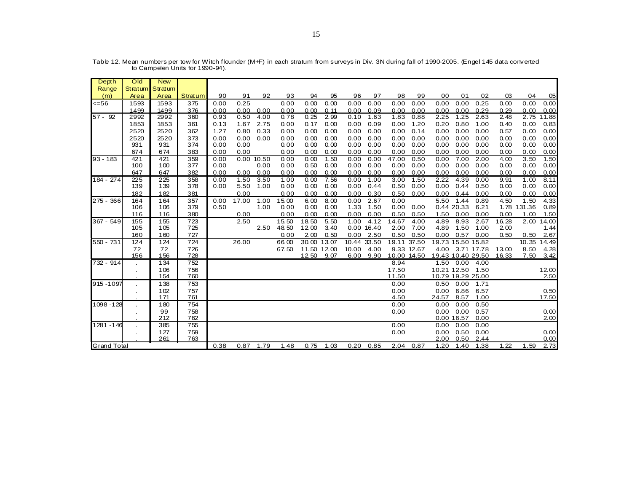| Depth              | Old       | <b>New</b> |            |      |       |            |       |             |      |             |             |              |             |                   |              |                   |       |             |                |
|--------------------|-----------|------------|------------|------|-------|------------|-------|-------------|------|-------------|-------------|--------------|-------------|-------------------|--------------|-------------------|-------|-------------|----------------|
| Range              | Stratum   | Stratum    |            |      |       |            |       |             |      |             |             |              |             |                   |              |                   |       |             |                |
| (m)                | Area      | Area       | Stratum    | 90   | 91    | 92         | 93    | 94          | 95   | 96          | 97          | 98           | 99          | 00                | 01           | 02                | 03    | 04          | 0 <sub>5</sub> |
| <=56               | 1593      | 1593       | 375        | 0.00 | 0.25  |            | 0.00  | 0.00        | 0.00 | 0.00        | 0.00        | 0.00         | 0.00        | 0.00              | 0.00         | 0.25              | 0.00  | 0.00        | 0.00           |
|                    | 1499      | 1499       | 376        | 0.00 | 0.00  | 0.00       | 0.00  | 0.00        | 0.11 | 0.00        | 0.09        | 0.00         | 0.00        | 0.00              | 0.00         | 0.29              | 0.29  | 0.00        | 0.00           |
| $57 - 92$          | 2992      | 2992       | 360        | 0.93 | 0.50  | 4.00       | 0.78  | 0.25        | 2.99 | 0.10        | 1.63        | 1.83         | 0.88        | 2.25              | 1.25         | 2.63              | 2.48  | 2.75        | 11.88          |
|                    | 1853      | 1853       | 361        | 0.13 | 1.67  | 2.75       | 0.00  | 0.17        | 0.00 | 0.00        | 0.09        | 0.00         | 1.20        | 0.20              | 0.80         | 1.00              | 0.40  | 0.00        | 0.83           |
|                    | 2520      | 2520       | 362        | 1.27 | 0.80  | 0.33       | 0.00  | 0.00        | 0.00 | 0.00        | 0.00        | 0.00         | 0.14        | 0.00              | 0.00         | 0.00              | 0.57  | 0.00        | 0.00           |
|                    | 2520      | 2520       | 373        | 0.00 | 0.00  | 0.00       | 0.00  | 0.00        | 0.00 | 0.00        | 0.00        | 0.00         | 0.00        | 0.00              | 0.00         | 0.00              | 0.00  | 0.00        | 0.00           |
|                    | 931       | 931        | 374        | 0.00 | 0.00  |            | 0.00  | 0.00        | 0.00 | 0.00        | 0.00        | 0.00         | 0.00        | 0.00              | 0.00         | 0.00              | 0.00  | 0.00        | 0.00           |
|                    | 674       | 674        | 383        | 0.00 | 0.00  |            | 0.00  | 0.00        | 0.00 | 0.00        | 0.00        | 0.00         | 0.00        | 0.00              | 0.00         | 0.00              | 0.00  | 0.00        | 0.00           |
| $93 - 183$         | 421       | 421        | 359        | 0.00 |       | 0.00 10.50 | 0.00  | 0.00        | 1.50 | 0.00        | 0.00        | 47.00        | 0.50        | 0.00              | 7.00         | 2.00              | 4.00  | 3.50        | 1.50           |
|                    | 100       | 100        | 377        | 0.00 |       | 0.00       | 0.00  | 0.50        | 0.00 | 0.00        | 0.00        | 0.00         | 0.00        | 0.00              | 0.00         | 0.00              | 0.00  | 0.00        | 0.00           |
|                    | 647       | 647        | 382        | 0.00 | 0.00  | 0.00       | 0.00  | 0.00        | 0.00 | 0.00        | 0.00        | 0.00         | 0.00        | 0.00              | 0.00         | 0.00              | 0.00  | 0.00        | 0.00           |
| 184 - 274          | 225       | 225        | 358        | 0.00 | 1.50  | 3.50       | 1.00  | 0.00        | 7.56 | 0.00        | 1.00        | 3.00         | 1.50        | 2.22              | 4.39         | 0.00              | 9.91  | 1.00        | 8.11           |
|                    | 139       | 139        | 378        | 0.00 | 5.50  | 1.00       | 0.00  | 0.00        | 0.00 | 0.00        | 0.44        | 0.50         | 0.00        | 0.00              | 0.44         | 0.50              | 0.00  | 0.00        | 0.00           |
|                    | 182       | 182        | 381        |      | 0.00  |            | 0.00  | 0.00        | 0.00 | 0.00        | 0.30        | 0.50         | 0.00        | 0.00              | 0.44         | 0.00              | 0.00  | 0.00        | 0.00           |
| 275 - 366          | 164       | 164        | 357        | 0.00 | 17.00 | 1.00       | 15.00 | 6.00        | 8.00 | 0.00        | 2.67        | 0.00         |             | 5.50              | 1.44         | 0.89              | 4.50  | 1.50        | 4.33           |
|                    | 106       | 106        | 379        | 0.50 |       | 1.00       | 0.00  | 0.00        | 0.00 | 1.33        | 1.50        | 0.00         | 0.00        |                   | 0.44 20.33   | 6.21              |       | 1.78 131.36 | 0.89           |
|                    | 116       | 116        | 380        |      | 0.00  |            | 0.00  | 0.00        | 0.00 | 0.00        | 0.00        | 0.50         | 0.50        | 1.50              | 0.00         | 0.00              | 0.00  | 1.00        | 1.50           |
| 367 - 549          | 155       | 155        | 723        |      | 2.50  |            | 15.50 | 18.50       | 5.50 | 1.00        | 4.12        | 14.67        | 4.00        | 4.89              | 8.93         | 2.67              | 16.28 |             | 2.00 14.00     |
|                    | 105       | 105        | 725        |      |       | 2.50       | 48.50 | 12.00       | 3.40 |             | 0.00 16.40  | 2.00         | 7.00        | 4.89              | 1.50         | 1.00              | 2.00  |             | 1.44           |
|                    | 160       | 160        | 727        |      |       |            | 0.00  | 2.00        | 0.50 |             | $0.00$ 2.50 | 0.50         | 0.50        | 0.00              | 0.57         | 0.00              | 0.50  | 0.50        | 2.67           |
| 550 - 731          | 124       | 124        | 724        |      | 26.00 |            | 66.00 | 30.00 13.07 |      | 10.44 33.50 |             |              | 19.11 37.50 |                   |              | 19.73 15.50 15.82 |       | 10.35       | 14.49          |
|                    | 72        | 72         | 726        |      |       |            | 67.50 | 11.50 12.00 |      | 10.00       | 4.00        |              | 9.33 12.67  |                   |              | 4.00 3.71 17.78   | 13.00 | 8.50        | 4.28           |
|                    | 156       | 156        | 728        |      |       |            |       | 12.50       | 9.07 | 6.00        | 9.90        |              | 10.00 14.50 | 19.43 10.40 29.50 |              |                   | 16.33 | 7.50        | 3.42           |
| 732 - 914          |           | 134        | 752        |      |       |            |       |             |      |             |             | 8.94         |             |                   |              | 1.50  0.00  4.00  |       |             |                |
|                    | $\sim$    | 106        | 756        |      |       |            |       |             |      |             |             | 17.50        |             |                   |              | 10.21 12.50 1.50  |       |             | 12.00          |
|                    |           | 154        | 760        |      |       |            |       |             |      |             |             | 11.50        |             | 10.79 19.29 25.00 |              |                   |       |             | 2.50           |
| 915-1097           |           | 138        | 753        |      |       |            |       |             |      |             |             | 0.00         |             | 0.50              |              | $0.00$ 1.71       |       |             |                |
|                    | $\bullet$ | 102<br>171 | 757<br>761 |      |       |            |       |             |      |             |             | 0.00<br>4.50 |             | 0.00<br>24.57     | 6.86<br>8.57 | 6.57<br>1.00      |       |             | 0.50<br>17.50  |
| 1098 - 128         |           | 180        | 754        |      |       |            |       |             |      |             |             | 0.00         |             | 0.00              | 0.00         | 0.50              |       |             |                |
|                    |           | 99         | 758        |      |       |            |       |             |      |             |             |              |             | 0.00              | 0.00         | 0.57              |       |             |                |
|                    | $\bullet$ | 212        | 762        |      |       |            |       |             |      |             |             | 0.00         |             |                   | 0.00 16.57   | 0.00              |       |             | 0.00<br>2.00   |
| 1281 - 146         |           | 385        | 755        |      |       |            |       |             |      |             |             | 0.00         |             | 0.00              | 0.00         | 0.00              |       |             |                |
|                    |           | 127        | 759        |      |       |            |       |             |      |             |             | 0.00         |             | 0.00              | 0.50         | 0.00              |       |             | 0.00           |
|                    | $\cdot$   | 261        | 763        |      |       |            |       |             |      |             |             |              |             | 2.00              | 0.50         | 2.44              |       |             | 0.00           |
| <b>Grand Total</b> |           |            |            | 0.38 | 0.87  | 1.79       | 1.48  | 0.75        | 1.03 | 0.20        | 0.85        | 2.04         | 0.87        | 1.20              | 1.40         | 1.38              | 1.22  | 1.59        | 2.73           |

Table 12. Mean numbers per tow for Witch flounder (M+F) in each stratum from surveys in Div. 3N during fall of 1990-2005. (Engel 145 data converted<br>to Campelen Units for 1990-94).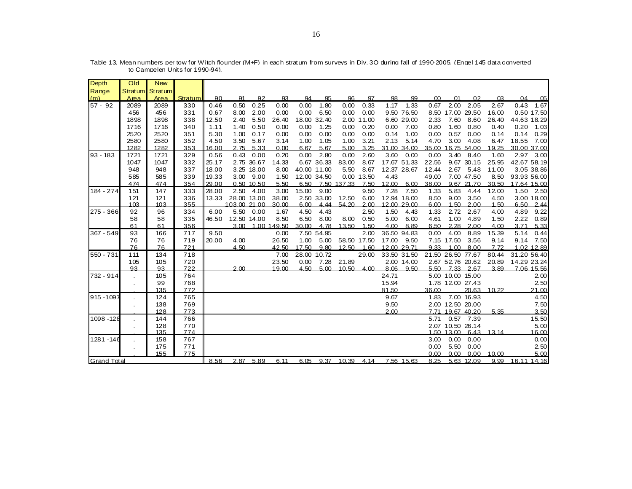| Depth                            | Old            | <b>New</b>      |         |       |              |            |             |       |             |             |            |             |      |               |                   |                  |       |             |                |
|----------------------------------|----------------|-----------------|---------|-------|--------------|------------|-------------|-------|-------------|-------------|------------|-------------|------|---------------|-------------------|------------------|-------|-------------|----------------|
| Range                            |                | Stratum Stratum |         |       |              |            |             |       |             |             |            |             |      |               |                   |                  |       |             |                |
| (m)                              | Area           | Area            | Stratum | 90    | 91           | 92         | 93          | 94    | 95          | 96          | 97         | 98          | 99   | <sub>00</sub> | 01                | 02               | 03    | 04          | 0 <sub>5</sub> |
| $57 - 92$                        | 2089           | 2089            | 330     | 0.46  | 0.50         | 0.25       | 0.00        | 0.00  | 1.80        | 0.00        | 0.33       | 1.17        | 1.33 | 0.67          | 2.00              | 2.05             | 2.67  | 0.43        | 1.67           |
|                                  | 456            | 456             | 331     | 0.67  | 8.00         | 2.00       | 0.00        | 0.00  | 6.50        | 0.00        | 0.00       | 9.50 76.50  |      |               | 8.50 17.00        | 29.50            | 16.00 |             | 0.50 17.50     |
|                                  | 1898           | 1898            | 338     | 12.50 | 2.40         | 5.50       | 26.40       |       | 18.00 32.40 |             | 2.00 11.00 | 6.60 29.00  |      | 2.33          | 7.60              | 8.60             | 26.40 |             | 44.63 18.29    |
|                                  | 1716           | 1716            | 340     | 1.11  | 1.40         | 0.50       | 0.00        | 0.00  | 1.25        | 0.00        | 0.20       | 0.00        | 7.00 | 0.80          | 1.60              | 0.80             | 0.40  | 0.20        | 1.03           |
|                                  | 2520           | 2520            | 351     | 5.30  | 1.00         | 0.17       | 0.00        | 0.00  | 0.00        | 0.00        | 0.00       | 0.14        | 1.00 | 0.00          | 0.57              | 0.00             | 0.14  | 0.14        | 0.29           |
|                                  | 2580           | 2580            | 352     | 4.50  | 3.50         | 5.67       | 3.14        | 1.00  | 1.05        | 1.00        | 3.21       | 2.13        | 5.14 | 4.70          | 3.00              | 4.08             | 6.47  | 18.55       | 7.00           |
|                                  | 1282           | 1282            | 353     | 16.00 | 2.75         | 5.33       | 0.00        | 6.67  | 5.67        | 5.00        | 3.25       | 31.00 34.00 |      |               | 35.00 16.75 54.00 |                  | 19.25 |             | 30.00 37.00    |
| $93 - 183$                       | 1721           | 1721            | 329     | 0.56  | 0.43         | 0.00       | 0.20        | 0.00  | 2.80        | 0.00        | 2.60       | 3.60        | 0.00 | 0.00          | 3.40              | 8.40             | 1.60  |             | 2.97 3.00      |
|                                  | 1047           | 1047            | 332     | 25.17 |              | 2.75 36.67 | 14.33       |       | 6.67 36.33  | 83.00       | 8.67       | 17.67 51.33 |      | 22.56         |                   | 9.67 30.15       | 25.95 |             | 42.67 58.19    |
|                                  | 948            | 948             | 337     | 18.00 |              | 3.25 18.00 | 8.00        |       | 40.00 11.00 | 5.50        | 8.67       | 12.37 28.67 |      | 12.44         | 2.67              | 5.48             | 11.00 |             | 3.05 38.86     |
|                                  | 585            | 585             | 339     | 19.33 | 3.00         | 9.00       | 1.50        |       | 12.00 34.50 |             | 0.00 13.50 | 4.43        |      | 49.00         |                   | 7.00 47.50       | 8.50  | 93.93 56.00 |                |
|                                  | 474            | 474             | 354     | 29.00 |              | 0.50 10.50 | 5.50        | 6.50  |             | 7.50 137.33 | 7.50       | 12.00       | 6.00 | 38.00         |                   | 9.67 21.70       | 30.50 |             | 17.64 15.00    |
| 184 - 274                        | 151            | 147             | 333     | 28.00 | 2.50         | 4.00       | 3.00        | 15.00 | 9.00        |             | 9.50       | 7.28        | 7.50 | 1.33          | 5.83              | 4.44             | 12.00 | 1.50        | 2.50           |
|                                  | 121            | 121             | 336     | 13.33 | 28.00 13.00  |            | 38.00       |       | 2.50 33.00  | 12.50       | 6.00       | 12.94 18.00 |      | 8.50          | 9.00              | 3.50             | 4.50  |             | 3.00 18.00     |
|                                  | 103            | 103             | 355     |       | 103.00 21.00 |            | 30.00       | 6.00  | 4.44        | 54.20       | 2.00       | 12.00 29.00 |      | 6.00          | 1.50              | 2.00             | 1.50  | 6.50        | 2.44           |
| $275 - 366$                      | 92             | 96              | 334     | 6.00  |              | 5.50 0.00  | 1.67        | 4.50  | 4.43        |             | 2.50       | 1.50        | 4.43 | 1.33          | 2.72              | 2.67             | 4.00  | 4.89        | 9.22           |
|                                  | 58             | 58              | 335     | 46.50 | 12.50 14.00  |            | 8.50        | 6.50  | 8.00        | 8.00        | 0.50       | 5.00        | 6.00 | 4.61          | 1.00              | 4.89             | 1.50  | 2.22        | 0.89           |
|                                  | 61             | 61              | 356     |       | 3.00         |            | 1.00 149.50 | 30.00 | 4.78        | 13.50       | 1.50       | 4.00        | 8.89 | 6.50          | 2.28              | 2.00             | 4.00  | 3.71        | 5.33           |
| 367 - 549                        | 93             | 166             | 717     | 9.50  |              |            | 0.00        |       | 7.50 54.95  |             | 2.00       | 36.50 94.83 |      | 0.00          | 4.00              | 8.89             | 15.39 | 5.14        | 0.44           |
|                                  | 76             | 76              | 719     | 20.00 | 4.00         |            | 26.50       | 1.00  | 5.00        | 58.50 17.50 |            | 17.00       | 9.50 |               | 7.15 17.50        | 3.56             | 9.14  | 9.14        | 7.50           |
|                                  | 76             | 76              | 721     |       | 4.50         |            | 42.50       | 17.50 | 9.80        | 12.50       | 1.60       | 12.00 29.71 |      | 9.33          | 1.00              | 8.00             | 7.72  |             | 1.02 12.89     |
| 550 - 731                        | 111            | 134             | 718     |       |              |            | 7.00        |       | 28.00 10.72 |             | 29.00      | 33.50 31.50 |      |               | 21.50 26.50 77.67 |                  | 80.44 |             | 31.20 56.40    |
|                                  | 105            | 105             | 720     |       |              |            | 23.50       | 0.00  | 7.28        | 21.89       |            | 2.00 14.00  |      |               |                   | 2.67 52.76 20.62 | 20.89 | 14.29 23.24 |                |
|                                  | 93             | 93              | 722     |       | 2.00         |            | 19.00       | 4.50  | 5.00        | 10.50       | 4.00       | 8.06        | 9.50 | 5.50          | 7.33              | 2.67             | 3.89  |             | 7.06 15.56     |
| 732 - 914                        |                | 105             | 764     |       |              |            |             |       |             |             |            | 24.71       |      |               | 5.00 10.00 15.00  |                  |       |             | 2.00           |
|                                  |                | 99              | 768     |       |              |            |             |       |             |             |            | 15.94       |      |               | 1.78 12.00 27.43  |                  |       |             | 2.50           |
|                                  |                | 135             | 772     |       |              |            |             |       |             |             |            | 81.50       |      | 36.00         |                   | 20.63            | 10.22 |             | 21.00          |
| 915-1097                         |                | 124             | 765     |       |              |            |             |       |             |             |            | 9.67        |      | 1.83          |                   | 7.00 16.93       |       |             | 4.50           |
|                                  | $\mathbf{r}$   | 138             | 769     |       |              |            |             |       |             |             |            | 9.50        |      |               | 2.00 12.50 20.00  |                  |       |             | 7.50           |
|                                  |                | 128             | 773     |       |              |            |             |       |             |             |            | 2.00        |      |               | 7.71 19.67 40.20  |                  | 5.35  |             | 3.50           |
| 1098 - 128                       |                | 144             | 766     |       |              |            |             |       |             |             |            |             |      | 5.71          |                   | 0.57 7.39        |       |             | 15.50          |
|                                  |                | 128             | 770     |       |              |            |             |       |             |             |            |             |      |               | 2.07 10.50 26.14  |                  |       |             | 5.00           |
|                                  |                | 135             | 774     |       |              |            |             |       |             |             |            |             |      |               | 1.50 13.00        | 6.43             | 13.14 |             | 16.00          |
| 1281 - 146                       |                | 158             | 767     |       |              |            |             |       |             |             |            |             |      | 3.00          | 0.00              | 0.00             |       |             | 0.00           |
|                                  | $\blacksquare$ | 175             | 771     |       |              |            |             |       |             |             |            |             |      | 0.00          | 5.50              | 0.00             |       |             | 2.50           |
| 155<br>775<br><b>Grand Total</b> |                |                 |         |       |              |            |             |       |             |             |            |             |      | 0.00          | 0.00              | 0.00             | 10.00 |             | 5.00           |
|                                  |                |                 |         | 8.56  | 2.87         | 5.89       | 6.11        | 6.05  | 9.37        | 10.39       | 4.14       | 7.56 15.63  |      | 8.25          |                   | 5.63 12.09       | 9.99  | 16.11 14.16 |                |

Table 13. Mean numbers per tow for Witch flounder (M+F) in each stratum from surveys in Div. 3O during fall of 1990-2005. (Engel 145 data converted to Campelen Units for 1990-94).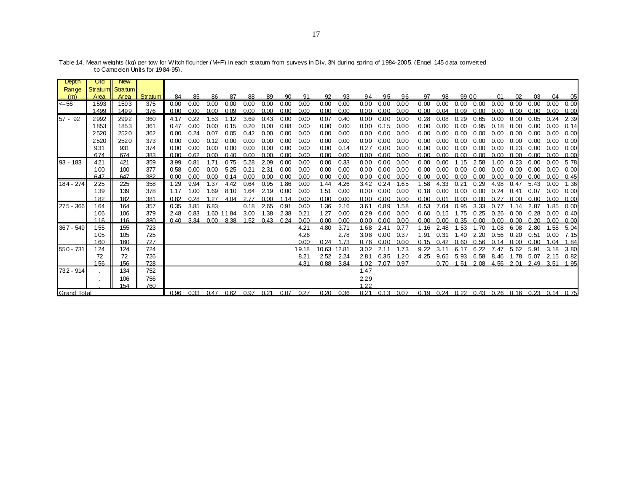| <b>Depth</b> | Old  | <b>New</b>      |                |      |                          |      |            |      |      |      |       |       |       |      |      |                      |      |                   |       |                   |                                              |           |           |      |      |
|--------------|------|-----------------|----------------|------|--------------------------|------|------------|------|------|------|-------|-------|-------|------|------|----------------------|------|-------------------|-------|-------------------|----------------------------------------------|-----------|-----------|------|------|
| Range        |      | Stratum Stratum |                |      |                          |      |            |      |      |      |       |       |       |      |      |                      |      |                   |       |                   |                                              |           |           |      |      |
| (m)          | Area | Area I          | <b>Stratum</b> | 84   | 85                       | 86   | 87         | 88   | 89   | 90   | 91    | 92    | 93    | 94   | 95   | 96                   | 97   | 98                | 99 00 |                   | $^{\circ}$                                   | <b>02</b> | 0.3       | 04   | 05   |
| $\leq 56$    | 1593 | 1593            | 375            | 0.00 | 0.00                     | 0.00 | 0.00       | 0.00 | 0.00 | 0.00 | 0.00  | 0.00  | 0.00  | 0.00 | 0.00 | 0.00                 | 0.00 | 0.00              |       | $0.00 \quad 0.00$ | 0.00                                         | 0.00      | 0.00      | 0.00 | 0.00 |
|              | 1499 | 1499            | 376            | 0.00 | 0.00                     | 0.00 | 0.09       | 0.00 | 0.00 | 0.00 | 0.00  | 0.00  | 0.00  | 0.00 | 0.00 | 0.00                 |      | $0.00 \quad 0.04$ |       | 0.09 0.00         | 0.00                                         | 0.00      | 0.00      | 0.00 | 0.00 |
| $57 - 92$    | 2992 | 2992            | 360            | 4.17 | 0.22                     | 1.53 | 1.12       | 3.69 | 0.43 | 0.00 | 0.00  | 0.07  | 0.40  | 0.00 | 0.00 | 0.00                 | 0.28 | 0.08              | 0.29  | 0.65              | 0.00                                         | 0.00      | 0.05      | 0.24 | 2.39 |
|              | 1853 | 1853            | 361            | 0.47 | 0.00                     | 0.00 | 0.15       | 0.20 | 0.00 | 0.08 | 0.00  | 0.00  | 0.00  | 0.00 | 0.15 | 0.00                 | 0.00 | 0.00              | 0.00  | 0.95              | 0.18                                         | 0.00      | 0.00      | 0.00 | 0.14 |
|              | 2520 | 2520            | 362            | 0.00 | 0.24                     | 0.07 | 0.05       | 0.42 | 0.00 | 0.00 | 0.00  | 0.00  | 0.00  | 0.00 | 0.00 | 0.00                 | 0.00 | 0.00              | 0.00  | 0.00              | 0.00                                         | 0.00      | 0.00      | 0.00 | 0.00 |
|              | 2520 | 2520            | 373            | 0.00 | 0.00                     | 0.12 | 0.00       | 0.00 | 0.00 | 0.00 | 0.00  | 0.00  | 0.00  | 0.00 | 0.00 | 0.00                 | 0.00 | 0.00              | 0.00  | 0.00              | 0.00                                         | 0.00      | 0.00      | 0.00 | 0.00 |
|              | 931  | 931             | 374            | 0.00 | 0.00                     | 0.00 | 0.00       | 0.00 | 0.00 | 0.00 | 0.00  | 0.00  | 0.14  | 0.27 | 0.00 | 0.00                 | 0.00 | 0.00              | 0.00  | 0.00              | 0.00                                         | 0.23      | 0.00      | 0.00 | 0.00 |
|              | 674  | 674             | 383            | 0.00 | 0.62                     | 0.00 | 0.40       | 0.00 | 0.00 | 0.00 | 0.00  | 0.00  | 0.00  | 0.00 | 0.00 | 0.00                 | 0.00 | 0.00              | 0.00  | 0.00              | 0.00                                         | 0.00      | 0.00      | 0.00 | 0.00 |
| 93 - 183     | 421  | 421             | 359            | 3.99 | 0.81                     | 1.71 | 0.75       | 5.28 | 2.09 | 0.00 | 0.00  | 0.00  | 0.33  | 0.00 | 0.00 | 0.00                 | 0.00 | 0.00              | 1.15  | 2.58              | 1.00                                         | 0.23      | 0.00      | 0.00 | 5.78 |
|              | 100  | 100             | 377            | 0.58 | 0.00                     | 0.00 | 5.25       | 0.21 | 2.31 | 0.00 | 0.00  | 0.00  | 0.00  | 0.00 | 0.00 | 0.00                 | 0.00 | 0.00              | 0.00  | 0.00              | 0.00                                         | 0.00      | 0.00      | 0.00 | 0.00 |
|              | 647  | 647             | 382            | 0.00 | 0.00                     | 0.00 | 0.14       | 0.00 | 0.00 | 0.00 | 0.00  | 0.00  | 0.00  | 0.00 | 0.00 | 0.00                 | 0.00 | 0.00              | 0.00  | 0.00              | 0.00                                         | 0.00      | 0.00      | 0.00 | 0.45 |
| 184 - 274    | 225  | 225             | 358            | 1.29 | 9.94                     | 1.37 | 4.42       | 0.64 | 0.95 | 1.86 | 0.00  | 1.44  | 4.26  | 3.42 | 0.24 | 1.65                 | 1.58 | 4.33              | 0.21  | 0.29              | 4.98                                         | 0.47      | 5.43      | 0.00 | 1.36 |
|              | 139  | 139             | 378            | 1.17 | 1.00                     | 1.69 | 8.10       | 1.64 | 2.19 | 0.00 | 0.00  | 1.51  | 0.00  | 0.00 | 0.00 | 0.00                 | 0.18 | 0.00              | 0.00  | 0.00              | 0.24                                         | 0.41      | 0.07      | 0.00 | 0.00 |
|              | 182  | 182             | 381            | 0.82 | 0.28                     | -27  | 4.04       | 2.77 | 0.00 | 1.14 | 0.00  | 0.00  | 0.00  | 0.00 | 0.00 | 0.00                 | 0.00 |                   | 0.00  | 0.00              | 0.27                                         | 0.00      | 0.00      | 0.00 | 0.00 |
| 275 - 366    | 164  | 164             | 357            | 0.35 | 3.85                     | 6.83 |            | 0.18 | 2.65 | 0.91 | 0.00  | 1.36  | 2.16  | 3.61 | 0.89 | 1.58                 | 0.53 | 7.04              | 0.95  | 3.33              | 0.77                                         | 1.14      | 2.87      | 1.85 | 0.00 |
|              | 106  | 106             | 379            | 2.48 | 0.83                     |      | 1.60 11.84 | 3.00 | 1.38 | 2.38 | 0.21  | 1.27  | 0.00  | 0.29 | 0.00 | 0.00                 | 0.60 | 0.15              | 1.75  | 0.25              | 0.26                                         | 0.00      | 0.28      | 0.00 | 0.40 |
|              | 116  | 116             | 380            | 0.40 | 3.34                     | 0.00 | 8.38       | 1.52 | 0.43 | 0.24 | 0.00  | 0.00  | 0.00  | 0.00 | 0.00 | 0.00                 | 0.00 | 0.00              | 0.35  | 0.00              | 0.00                                         | 0.00      | 0.20      | 0.00 | 0.00 |
| $367 - 549$  | 155  | 155             | 723            |      |                          |      |            |      |      |      | 4.21  | 4.80  | 3.71  | 1.68 | 2.41 | 0.77                 | 1.16 | 2.48              | 1.53  | 1.70              | 1.08                                         | 6.08      | 2.80      | 1.58 | 5.04 |
|              | 105  | 105             | 725            |      |                          |      |            |      |      |      | 4.26  |       | 2.78  | 3.08 | 0.00 | 0.37                 | 1.91 | 0.31              | 1.40  | 2.20              | 0.56                                         | 0.20      | 0.51      | 0.00 | 7.15 |
|              | 160  | 160             | 727            |      |                          |      |            |      |      |      | 0.00  | 0.24  | 1.73  | 0.76 | 0.00 | 0.00                 | 0.15 | 0.42              | 0.60  | 0.56              | 0.14                                         | 0.00      | 0.00      | .04  | 1.84 |
| 550 - 731    | 124  | 124             | 724            |      |                          |      |            |      |      |      | 19.18 | 10.63 | 12.81 | 3.02 | 2.11 | 1.73                 | 9.22 | 3.11              | 6.17  | 6.22              | 7.47                                         | 5.62      | 5.91      | 3.18 | 3.80 |
|              | 72   | 72              | 726            |      |                          |      |            |      |      |      | 8.21  | 2.52  | 2.24  | 2.81 | 0.35 | 1.20                 | 4.25 | 9.65              | 5.93  | 6.58              | 8.46                                         |           | 1.78 5.07 | 2.15 | 0.82 |
|              | 156  | 156             | 728            |      |                          |      |            |      |      |      | 4.31  | 0.88  | 3.84  | 1.02 | 7.07 | 0.97                 |      | 0.70              | 1.51  | 2.08              | 4.56                                         | 2.01      | 2.49      | 3.51 | 1.95 |
| 732 - 914    |      | 134             | 752            |      |                          |      |            |      |      |      |       |       |       | 1.47 |      |                      |      |                   |       |                   |                                              |           |           |      |      |
|              |      | 106             | 756            |      |                          |      |            |      |      |      |       |       |       | 2.29 |      |                      |      |                   |       |                   |                                              |           |           |      |      |
|              | 760  |                 |                |      |                          |      |            |      |      |      |       | 1.22  |       |      |      |                      |      |                   |       |                   |                                              |           |           |      |      |
| Grand Total  |      |                 |                |      | 0.96 0.33 0.47 0.62 0.97 |      |            |      | 0.21 | 0.07 | 0.27  | 0.20  | 0.36  |      |      | $0.21$ $0.13$ $0.07$ |      |                   |       |                   | 0.19 0.24 0.22 0.43 0.26 0.16 0.23 0.14 0.75 |           |           |      |      |

Table 14. Mean weights (kg) per tow for Witch flounder (M+F) in each stratum from surveys in Div. 3N during spring of 1984-2005. (Engel 145 data converted to Campelen Units for 1984-95).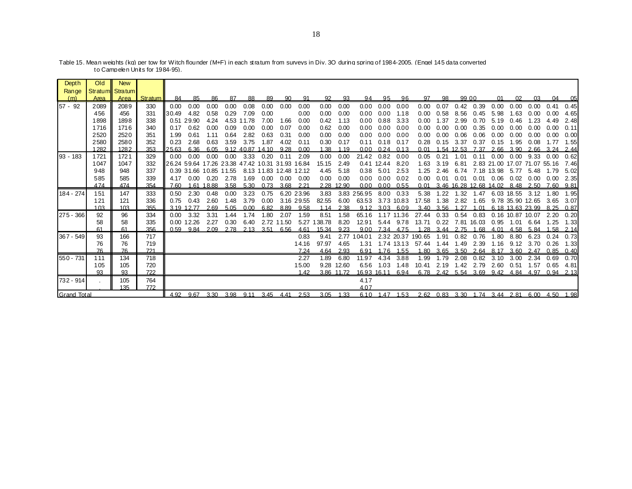| <b>Depth</b> | Old  | <b>New</b>      |         |                   |                                     |       |      |            |       |                        |            |        |            |             |       |                |        |      |       |                        |                               |       |                              |            |      |
|--------------|------|-----------------|---------|-------------------|-------------------------------------|-------|------|------------|-------|------------------------|------------|--------|------------|-------------|-------|----------------|--------|------|-------|------------------------|-------------------------------|-------|------------------------------|------------|------|
| Range        |      | Stratum Stratum |         |                   |                                     |       |      |            |       |                        |            |        |            |             |       |                |        |      |       |                        |                               |       |                              |            |      |
| (m)          | Area | Area            | Stratum | 84                | 85                                  | 86    | 87   | 88         | 89    | 90                     | 91         | 92     | 93         | 94          | 95    | 96             | 97     | 98   | 99 00 |                        | 01                            | 02    | 03                           | 04         | 05   |
| $57 - 92$    | 2089 | 2089            | 330     | 0.00              | 0.00                                | 0.00  | 0.00 | 0.08       | 0.00  | 0.00                   | 0.00       | 0.00   | 0.00       | 0.00        | 0.00  | 0.00           | 0.00   | 0.07 | 0.42  | 0.39                   | 0.00                          | 0.00  | 0.00                         | 0.41       | 0.45 |
|              | 456  | 456             | 331     | 30.49             | 4.82                                | 0.58  | 0.29 | 7.09       | 0.00  |                        | 0.00       | 0.00   | 0.00       | 0.00        | 0.00  | 1.18           | 0.00   | 0.58 | 8.56  | 0.45                   | 5.98                          | 1.63  | 0.00                         | 0.00       | 4.65 |
|              | 1898 | 1898            | 338     |                   | 0.51 29.90                          | 4.24  |      | 4.53 11.78 | 7.00  | 1.66                   | 0.00       | 0.42   | 1.13       | 0.00        | 0.88  | 3.33           | 0.00   | 1.37 | 2.99  | 0.70                   | 5.19                          | 0.46  | 1.23                         | 4.49       | 2.48 |
|              | 1716 | 1716            | 340     | 0.17              | 0.62                                | 0.00  | 0.09 | 0.00       | 0.00  | 0.07                   | 0.00       | 0.62   | 0.00       | 0.00        | 0.00  | 0.00           | 0.00   | 0.00 | 0.00  | 0.35                   | 0.00                          | 0.00  | 0.00                         | 0.00       | 0.11 |
|              | 2520 | 2520            | 351     | 1.99              | 0.61                                | 1.11  | 0.64 | 2.82       | 0.63  | 0.31                   | 0.00       | 0.00   | 0.00       | 0.00        | 0.00  | 0.00           | 0.00   | 0.00 | 0.06  | 0.06                   | 0.00                          | 0.00  | 0.00                         | 0.00       | 0.00 |
|              | 2580 | 2580            | 352     | 0.23              | 2.68                                | 0.63  | 3.59 | 3.75       | 1.87  | 4.02                   | 0.11       | 0.30   | 0.17       | 0.11        | 0.18  | 0.17           | 0.28   | 0.15 | 3.37  | 0.37                   | 0.15                          | 1.95  | 0.08                         | 1.77       | 1.55 |
|              | 1282 | 1282            | 353     | 25.63             | 6.36                                | 6.05  |      | 9.12 40.87 | 14.10 | 9.28                   | 0.00       | 1.38   | 1.19       | 0.00        | 0.24  | 0.13           | 0.01   | -54  | 12.53 | 7.37                   | 2.66                          | 3.90  | 2.66                         | 3 24       | 2.44 |
| 93 - 183     | 1721 | 1721            | 329     | 0.00              | 0.00                                | 0.00  | 0.00 | 3.33       | 0.20  | 0.11                   | 2.09       | 0.00   | 0.00       | 21.42       | 0.82  | 0.00           | 0.05   | 0.21 | 1.01  | 0.11                   | 0.00                          | 0.00  | 9.33                         | 0.00       | 0.62 |
|              | 1047 | 1047            | 332     |                   | 26.24 59.64 17.26 23.38 47.42 10.31 |       |      |            |       | 31.93 16.84            |            | 15.15  | 2.49       | 0.41        | 12.44 | 8.20           | 1.63   | 3.19 | 6.81  |                        |                               |       | 2.83 21.00 17.07 71.07 55.16 |            | 7.46 |
|              | 948  | 948             | 337     |                   | 0.39 31.66 10.85 11.55              |       |      |            |       | 8.13 11.83 12.48 12.12 |            | 4.45   | 5.18       | 0.38        | 5.01  | 2.53           | 1.25   | 2.46 | 6.74  |                        | 7.18 13.98                    | 5.77  | 5.48                         | 1.79       | 5.02 |
|              | 585  | 585             | 339     | 4.17              | 0.00                                | 0.20  | 2.78 | 1.69       | 0.00  | 0.00                   | 0.00       | 0.00   | 0.00       | 0.00        | 0.00  | 0.02           | 0.00   | 0.01 | 0.01  | 0.01                   | 0.06                          | 0.02  | 0.00                         | 0.00       | 2.35 |
|              | 474  | 474             | 354     | 7.60              | 1.61                                | 18.88 | 3.58 | 5.30       | 0.73  | 3.68                   | 2.21       | 2.28   | 12.90      | 0.00        | 0.00  | 0.55           | 0.01   |      |       | 3.46 16.28 12.68 14.02 |                               | 8.48  | 2.50                         | 7.60       | 9.81 |
| 184 - 274    | 151  | 147             | 333     | 0.50              | 2.30                                | 0.48  | 0.00 | 3.23       | 0.75  |                        | 6.20 23.96 | 3.83   | 3.83       | 256.95      | 8.00  | 0.33           | 5.38   | 1.22 | 1.32  | 1.47                   | 6.03                          | 18.55 | 3.12                         | .80<br>-1  | 1.95 |
|              | 121  | 121             | 336     | 0.75              | 0.43                                | 2.60  | 1.48 | 3.79       | 0.00  |                        | 3.16 29.55 | 82.55  | 6.00       | 63.53       |       | 3.73 10.83     | 17.58  | 1.38 | 2.82  | 1.65                   |                               |       | 9.78 35.90 12.65             | 3.65       | 3.07 |
|              | 103  | 103             | 355     | 3.19 <sub>1</sub> | 2.77                                | 2.69  | 5.05 | 0.00       | 6.82  | 8.89                   | 9.58       | 1.14   | 2.38       | 9.12        | 3.03  | 6.09           | 3.40   | 3.56 | 1.27  | 1.01                   |                               |       | 6.18 13.63 23.99 8.25        |            | 0.87 |
| 275 - 366    | 92   | 96              | 334     | 0.00              | 3.32                                | 3.31  | 1.44 | 1.74       | 1.80  | 2.07                   | 1.59       | 8.51   | 1.58       | 65.16       |       | 1.17 11.36     | 27.44  | 0.33 | 0.54  | 0.83                   |                               |       | 0.16 10.87 10.07             | 2.20       | 0.20 |
|              | 58   | 58              | 335     | 0.00              | 12.26                               | 2.27  | 0.30 | 6.40       |       | 2.72 11.50             | 5.27       | 138.78 | 8.20       | 12.91       | 5.44  | 9.78           | 13.71  | 0.22 |       | 7.81 16.03             | 0.95                          | 1.01  | 6.64                         | 1.25       | 1.33 |
|              | 61   | 61              | 356     | 0.59              | 9.84                                | 2.09  | 2.78 | 2.13       | 3.51  | 6.56                   | 4.61       | 15.34  | 9.23       | 9.00        | 7.34  | 4.75           | 1 28   | 3.44 | 2.75  | -68<br>-1              | 4.01                          | 4.58  | 5.84                         | . 58<br>-1 | 2.14 |
| 367 - 549    | 93   | 166             | 717     |                   |                                     |       |      |            |       |                        | 0.83       | 9.41   | 2.77       | 104.01      |       | 2.32 20.37     | 190.65 | 1.91 | 0.82  | 0.76                   | 1.80                          | 8.80  | 6.23                         | 0.24       | 0.73 |
|              | 76   | 76              | 719     |                   |                                     |       |      |            |       |                        | 14.16      | 97.97  | 4.65       | 1.31        |       | 1.74 13.13     | 57.44  | 1.44 | 1.49  | 2.39                   | 1.16                          | 9.12  | 3.70                         | 0.26       | 1.33 |
|              | 76   | 76              | 721     |                   |                                     |       |      |            |       |                        | 7.24       | 4.64   | 2.93       | 6.91        | 1.76  | 1.55           | .80    | 3.65 | 3.50  | 2.64                   | 8.17                          | 3.60  | 2.47                         | 0.85       | 0.40 |
| $550 - 731$  | 111  | 134             | 718     |                   |                                     |       |      |            |       |                        | 2.27       | 1.89   | 6.80       | 11.97       | 4.34  | 3.88           | 1.99   | 1.79 | 2.08  | 0.82                   | 3.10                          | 3.00  | 2.34                         | 0.69       | 0.70 |
|              | 105  | 105             | 720     |                   |                                     |       |      |            |       |                        | 15.00      | 9.28   | 12.60      | 6.56        | 1.03  | 1.48           | 10.41  | 2.19 | 1.42  | 2.79                   | 2.60                          | 0.51  | 1.57                         | 0.65       | 4.81 |
|              | 93   | 93              | 722     |                   |                                     |       |      |            |       |                        | 1.42       |        | 3.86 11.72 | 16.93 16.11 |       | 6.94           |        |      |       | 6.78 2.42 5.54 3.69    | 9.42                          | 4.84  | 4.97                         | 0.94       | 2.13 |
| 732 - 914    |      | 105             | 764     |                   |                                     |       |      |            |       |                        |            |        |            | 4.17        |       |                |        |      |       |                        |                               |       |                              |            |      |
| 772<br>135   |      |                 |         |                   |                                     |       |      |            |       |                        |            |        |            | 4.07        |       |                |        |      |       |                        |                               |       |                              |            |      |
| Grand Total  |      |                 |         | 4.92              | 9.67                                | 3.30  |      | 3.98 9.11  | 3.45  | 4.41                   | 2.53       | 3.05   | 1.33       |             |       | 6.10 1.47 1.53 |        |      |       |                        | 2.62 0.83 3.30 1.74 3.44 2.81 |       | 6.00                         | 4.50       | 1.98 |

Table 15. Mean weights (kg) per tow for Witch flounder (M+F) in each stratum from surveys in Div. 3O during spring of 1984-2005. (Engel 145 data converted to Campelen Units for 1984-95).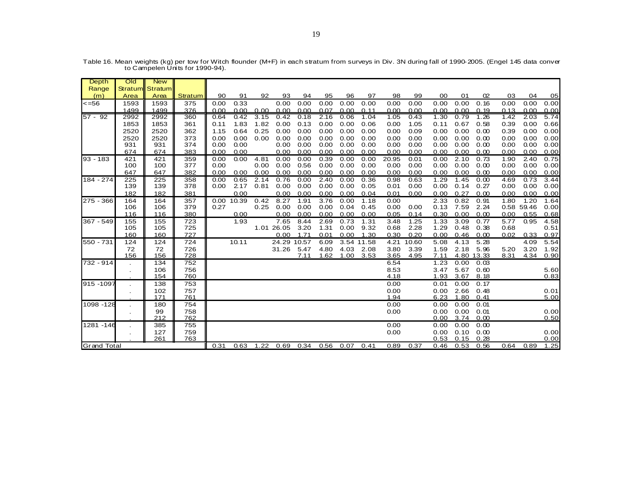| Depth              | O <sub>Id</sub> | <b>New</b>      |            |      |       |      |                    |              |              |                    |              |              |              |              |                    |                |              |            |              |
|--------------------|-----------------|-----------------|------------|------|-------|------|--------------------|--------------|--------------|--------------------|--------------|--------------|--------------|--------------|--------------------|----------------|--------------|------------|--------------|
| Range              |                 | Stratum Stratum |            |      |       |      |                    |              |              |                    |              |              |              |              |                    |                |              |            |              |
| (m)                | Area            | Area            | Stratum    | 90   | 91    | 92   | 93                 | 94           | 95           | 96                 | 97           | 98           | 99           | 00           | 01                 | O <sub>2</sub> | 03           | 04         | 05           |
| <=56               | 1593            | 1593            | 375        | 0.00 | 0.33  |      | 0.00               | 0.00         | 0.00         | 0.00               | 0.00         | 0.00         | 0.00         | 0.00         | 0.00               | 0.16           | 0.00         | 0.00       | 0.00         |
|                    | 1499            | 1499            | 376        | 0.00 | 0.00  | 0.00 | 0.00               | 0.00         | 0.07         | 0.00               | 0.11         | 0.00         | 0.00         | 0.00         | 0.00               | 0.19           | 0.13         | 0.00       | 0.00         |
| 57 - 92            | 2992            | 2992            | 360        | 0.64 | 0.42  | 3.15 | 0.42               | 0.18         | 2.16         | 0.06               | 1.04         | 1.05         | 0.43         | 1.30         | 0.79               | 1.26           | 1.42         | 2.03       | 5.74         |
|                    | 1853            | 1853            | 361        | 0.11 | 1.83  | 1.82 | 0.00               | 0.13         | 0.00         | 0.00               | 0.06         | 0.00         | 1.05         | 0.11         | 0.67               | 0.58           | 0.39         | 0.00       | 0.66         |
|                    | 2520            | 2520            | 362        | 1.15 | 0.64  | 0.25 | 0.00               | 0.00         | 0.00         | 0.00               | 0.00         | 0.00         | 0.09         | 0.00         | 0.00               | 0.00           | 0.39         | 0.00       | 0.00         |
|                    | 2520            | 2520            | 373        | 0.00 | 0.00  | 0.00 | 0.00               | 0.00         | 0.00         | 0.00               | 0.00         | 0.00         | 0.00         | 0.00         | 0.00               | 0.00           | 0.00         | 0.00       | 0.00         |
|                    | 931             | 931             | 374        | 0.00 | 0.00  |      | 0.00               | 0.00         | 0.00         | 0.00               | 0.00         | 0.00         | 0.00         | 0.00         | 0.00               | 0.00           | 0.00         | 0.00       | 0.00         |
|                    | 674             | 674             | 383        | 0.00 | 0.00  |      | 0.00               | 0.00         | 0.00         | 0.00               | 0.00         | 0.00         | 0.00         | 0.00         | 0.00               | 0.00           | 0.00         | 0.00       | 0.00         |
| $93 - 183$         | 421             | 421             | 359        | 0.00 | 0.00  | 4.81 | 0.00               | 0.00         | 0.39         | 0.00               | 0.00         | 20.95        | 0.01         | 0.00         | 2.10               | 0.73           | 1.90         | 2.40       | 0.75         |
|                    | 100             | 100             | 377        | 0.00 |       | 0.00 | 0.00               | 0.56         | 0.00         | 0.00               | 0.00         | 0.00         | 0.00         | 0.00         | 0.00               | 0.00           | 0.00         | 0.00       | 0.00         |
|                    | 647             | 647             | 382        | 0.00 | 0.00  | 0.00 | 0.00               | 0.00         | 0.00         | 0.00               | 0.00         | 0.00         | 0.00         | 0.00         | 0.00               | 0.00           | 0.00         | 0.00       | 0.00         |
| 184 - 274          | 225             | 225             | 358        | 0.00 | 0.65  | 2.14 | 0.76               | 0.00         | 2.40         | 0.00               | 0.36         | 0.98         | 0.63         | 1.29         | 1.45               | 0.00           | 4.69         | 0.73       | 3.44         |
|                    | 139             | 139             | 378        | 0.00 | 2.17  | 0.81 | 0.00               | 0.00         | 0.00         | 0.00               | 0.05         | 0.01         | 0.00         | 0.00         | 0.14               | 0.27           | 0.00         | 0.00       | 0.00         |
|                    | 182             | 182             | 381        |      | 0.00  |      | 0.00               | 0.00         | 0.00         | 0.00               | 0.04         | 0.01         | 0.00         | 0.00         | 0.27               | 0.00           | 0.00         | 0.00       | 0.00         |
| 275 - 366          | 164             | 164             | 357        | 0.00 | 10.39 | 0.42 | 8.27               | 1.91         | 3.76         | 0.00               | 1.18         | 0.00         |              | 2.33         | 0.82               | 0.91           | 1.80         | 1.20       | 1.64         |
|                    | 106             | 106             | 379        | 0.27 |       | 0.25 | 0.00               | 0.00         | 0.00         | 0.04               | 0.45         | 0.00         | 0.00         | 0.13         | 7.59               | 2.24           |              | 0.58 59.46 | 0.00         |
|                    | 116             | 116             | 380        |      | 0.00  |      | 0.00               | 0.00         | 0.00         | 0.00               | 0.00         | 0.05         | 0.14         | 0.30         | 0.00               | 0.00           | 0.00         | 0.55       | 0.68         |
| 367 - 549          | 155<br>105      | 155             | 723<br>725 |      | 1.93  |      | 7.65<br>1.01 26.05 | 8.44<br>3.20 | 2.69<br>1.31 | 0.73<br>0.00       | 1.31<br>9.32 | 3.48<br>0.68 | 1.25<br>2.28 | 1.33<br>1.29 | 3.09<br>0.48       | 0.77           | 5.77<br>0.68 | 0.95       | 4.58         |
|                    |                 | 105             |            |      |       |      |                    | 1.71         |              |                    |              |              | 0.20         |              |                    | 0.38           |              | 0.33       | 0.51         |
| 550 - 731          | 160<br>124      | 160<br>124      | 727<br>724 |      | 10.11 |      | 0.00<br>24.29      | 10.57        | 0.01<br>6.09 | 0.00<br>3.54 11.58 | 1.30         | 0.30<br>4.21 |              | 0.00<br>5.08 | 0.46<br>4.13       | 0.00           | 0.02         | 4.09       | 0.97<br>5.54 |
|                    |                 |                 |            |      |       |      |                    |              |              |                    |              |              | 10.60        |              |                    | 5.28           |              | 3.20       |              |
|                    | 72<br>156       | 72<br>156       | 726<br>728 |      |       |      | 31.26              | 5.47<br>7.11 | 4.80<br>1.62 | 4.03<br>1.00       | 2.08<br>3.53 | 3.80<br>3.65 | 3.39<br>4.95 | 1.59<br>7.11 | 2.18<br>4.80 13.33 | 5.96           | 5.20<br>8.31 | 4.34       | 1.92<br>0.90 |
| 732 - 914          |                 | 134             | 752        |      |       |      |                    |              |              |                    |              | 6.54         |              | 1.23         | 0.00               | 0.03           |              |            |              |
|                    |                 | 106             | 756        |      |       |      |                    |              |              |                    |              | 8.53         |              | 3.47         | 5.67               | 0.60           |              |            | 5.60         |
|                    |                 | 154             | 760        |      |       |      |                    |              |              |                    |              | 4.18         |              | 1.93         | 3.67               | 8.18           |              |            | 0.83         |
| 915 - 1097         |                 | 138             | 753        |      |       |      |                    |              |              |                    |              | 0.00         |              | 0.01         | 0.00               | 0.17           |              |            |              |
|                    |                 | 102             | 757        |      |       |      |                    |              |              |                    |              | 0.00         |              | 0.00         | 2.66               | 0.48           |              |            | 0.01         |
|                    |                 | 171             | 761        |      |       |      |                    |              |              |                    |              | 1.94         |              | 6.23         | 1.80               | 0.41           |              |            | 5.00         |
| 1098 - 128         |                 | 180             | 754        |      |       |      |                    |              |              |                    |              | 0.00         |              | 0.00         | 0.00               | 0.01           |              |            |              |
|                    |                 | 99              | 758        |      |       |      |                    |              |              |                    |              | 0.00         |              | 0.00         | 0.00               | 0.01           |              |            | 0.00         |
|                    |                 | 212             | 762        |      |       |      |                    |              |              |                    |              |              |              | 0.00         | 3.74               | 0.00           |              |            | 0.50         |
| 1281 - 146         |                 | 385             | 755        |      |       |      |                    |              |              |                    |              | 0.00         |              | 0.00         | 0.00               | 0.00           |              |            |              |
|                    | $\sim$          | 127             | 759        |      |       |      |                    |              |              |                    |              | 0.00         |              | 0.00         | 0.10               | 0.00           |              |            | 0.00         |
|                    |                 | 261             | 763        |      |       |      |                    |              |              |                    |              |              |              | 0.53         | 0.15               | 0.28           |              |            | 0.00         |
| <b>Grand Total</b> |                 | 0.31            | 0.63       | 1.22 | 0.69  | 0.34 | 0.56               | 0.07         | 0.41         | 0.89               | 0.37         | 0.46         | 0.53         | 0.56         | 0.64               | 0.89           | 1.25         |            |              |

Table 16. Mean weights (kg) per tow for Witch flounder (M+F) in each stratum from surveys in Div. 3N during fall of 1990-2005. (Engel 145 data conver to Campelen Units for 1990-94).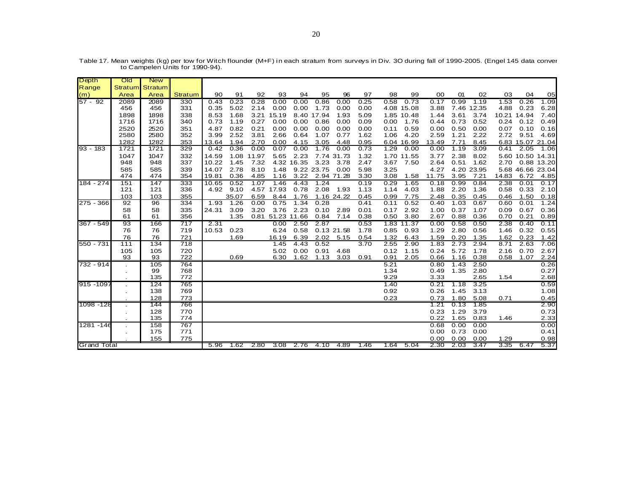| Depth              | Old      | <b>New</b>      |                |               |       |       |                  |              |            |            |              |      |                    |              |              |              |              |                  |              |
|--------------------|----------|-----------------|----------------|---------------|-------|-------|------------------|--------------|------------|------------|--------------|------|--------------------|--------------|--------------|--------------|--------------|------------------|--------------|
| Range              |          | Stratum Stratum |                |               |       |       |                  |              |            |            |              |      |                    |              |              |              |              |                  |              |
| (m)                | Area     | Area            | <b>Stratum</b> | 90            | 91    | 92    | 93               | 94           | 95         | 96         | 97           | 98   | 99                 | 00           | 01           | 02           | 03           | 04               | 05           |
| $57 - 92$          | 2089     | 2089            | 330            | 0.43          | 0.23  | 0.28  | 0.00             | 0.00         | 0.86       | 0.00       | 0.25         | 0.58 | 0.73               | 0.17         | 0.99         | 1.19         | 1.53         | 0.26             | 1.09         |
|                    | 456      | 456             | 331            | 0.35          | 5.02  | 2.14  | 0.00             | 0.00         | 1.73       | 0.00       | 0.00         |      | 4.08 15.08         | 3.88         |              | 7.46 12.35   | 4.88         | 0.23             | 6.28         |
|                    | 1898     | 1898            | 338            | 8.53          | 1.68  | 3.21  | 15.19            |              | 8.40 17.94 | 1.93       | 5.09         |      | 1.85 10.48         | 1.44         | 3.61         | 3.74         | 10.21        | 14.94            | 7.40         |
|                    | 1716     | 1716            | 340            | 0.73          | 1.19  | 0.27  | 0.00             | 0.00         | 0.86       | 0.00       | 0.09         | 0.00 | 1.76               | 0.44         | 0.73         | 0.52         | 0.24         | 0.12             | 0.49         |
|                    | 2520     | 2520            | 351            | 4.87          | 0.82  | 0.21  | 0.00             | 0.00         | 0.00       | 0.00       | 0.00         | 0.11 | 0.59               | 0.00         | 0.50         | 0.00         | 0.07         | 0.10             | 0.16         |
|                    | 2580     | 2580            | 352            | 3.99          | 2.52  | 3.81  | 2.66             | 0.64         | 1.07       | 0.77       | 1.62         | 1.06 | 4.20               | 2.59         | 1.21         | 2.22         | 2.72         | 9.51             | 4.69         |
|                    | 1282     | 1282            | 353            | 13.64         | 1.94  | 2.70  | 0.00             | 4.15         | 3.05       | 4.48       | 0.95         |      | 6.04 16.99         | 13.49        | 7.71         | 8.45         |              | 6.83 15.07 21.04 |              |
| $93 - 183$         | 1721     | 1721            | 329            | 0.42          | 0.36  | 0.00  | 0.07             | 0.00         | 1.76       | 0.00       | 0.73         | 1.29 | 0.00               | 0.00         | 1.19         | 3.09         | 0.41         | 2.05             | 1.06         |
|                    | 1047     | 1047            | 332            | 14.59         | 1.08  | 11.97 | 5.65             | 2.23         |            | 7.74 31.73 | 1.32         |      | 1.70 11.55         | 3.77         | 2.38         | 8.02         |              | 5.60 10.50 14.31 |              |
|                    | 948      | 948             | 337            | 10.22         | 1.45  | 7.32  |                  | 4.32 16.35   | 3.23       | 3.78       | 2.47         | 3.67 | 7.50               | 2.64         | 0.51         | 1.62         | 2.70         |                  | 0.88 13.20   |
|                    | 585      | 585             | 339            | 14.07         | 2.78  | 8.10  | 1.48             |              | 9.22 23.75 | 0.00       | 5.98         | 3.25 |                    | 4.27         |              | 4.20 23.95   |              | 5.68 46.66 23.04 |              |
|                    | 474      | 474             | 354            | 19.81         | 0.36  | 4.85  | 1.16             | 3.22         |            | 2.94 71.28 | 3.30         | 3.08 | 1.58               | 11.75        | 3.95         | 7.21         | 14.83        | 6.72             | 4.85         |
| 184 - 274          | 151      | 147             | 333            | 10.65         | 0.52  | 1.07  | 1.46             | 4.43         | 1.24       |            | 0.19         | 0.29 | 1.65               | 0.18         | 0.99         | 0.84         | 2.38         | 0.01             | 0.17         |
|                    | 121      | 121             | 336            | 4.92          | 9.10  |       | 4.57 17.93       | 0.78         | 2.08       | 1.93       | 1.13         | 1.14 | 4.03               | 1.88         | 2.20         | 1.36         | 0.58         | 0.33             | 2.10         |
|                    | 103      | 103             | 355            |               | 35.07 | 6.59  | 8.44             | 1.76         |            | 1.16 24.22 | 0.45         | 0.99 | 7.75               | 2.48         | 0.35         | 0.45         | 0.46         | 1.50             | 0.18         |
| 275 - 366          | 92       | 96              | 334            | 1.93          | 1.26  | 0.00  | 0.75             | 1.34         | 0.28       |            | 0.41         | 0.11 | 0.52               | 0.40         | 1.03         | 0.67         | 0.60         | 0.01             | 1.24         |
|                    | 58<br>61 | 58              | 335            | 24.31         | 3.09  | 3.20  | 3.76             | 2.23         | 0.10       | 2.89       | 0.01         | 0.17 | 2.92               | 1.00         | 0.37         | 1.07         | 0.09         | 0.67             | 0.36         |
|                    |          | 61              | 356            |               | 1.35  |       | 0.81 51.23 11.66 |              | 0.84       | 7.14       | 0.38         | 0.50 | 3.80               | 2.67         | 0.88         | 0.36         | 0.70         | 0.21             | 0.89         |
| $367 - 549$        | 93<br>76 | 166<br>76       | 717<br>719     | 2.31<br>10.53 | 0.23  |       | 0.00<br>6.24     | 2.50<br>0.58 | 2.87       | 0.13 21.58 | 0.53<br>1.78 | 0.85 | 1.83 11.37<br>0.93 | 0.00<br>1.29 | 0.58<br>2.80 | 0.50<br>0.56 | 2.38<br>1.46 | 0.40<br>0.32     | 0.11<br>0.55 |
|                    | 76       | 76              | 721            |               | 1.69  |       | 16.19            |              |            | 2.02 5.15  |              | 1.32 | 6.43               | 1.59         | 0.20         | 1.35         | 1.62         | 0.23             |              |
| 550 - 731          | 111      | 134             | 718            |               |       |       | 1.45             | 6.39<br>4.43 | 0.52       |            | 0.54<br>3.70 | 2.55 | 2.90               | 1.83         | 2.73         | 2.94         | 8.71         | 2.63             | 1.42<br>7.06 |
|                    | 105      | 105             | 720            |               |       |       | 5.02             | 0.00         | 0.91       | 4.68       |              | 0.12 | 1.15               | 0.24         | 5.72         | 1.78         | 2.16         | 0.70             | 2.67         |
|                    | 93       | 93              | 722            |               | 0.69  |       | 6.30             | 1.62         | 1.13       | 3.03       | 0.91         | 0.91 | 2.05               | 0.66         | 1.16         | 0.38         | 0.58         | 1.07             | 2.24         |
| $732 - 914$        |          | 105             | 764            |               |       |       |                  |              |            |            |              | 5.21 |                    | 0.80         | 1.43         | 2.50         |              |                  | 0.26         |
|                    |          | 99              | 768            |               |       |       |                  |              |            |            |              | 1.34 |                    | 0.49         | 1.35         | 2.80         |              |                  | 0.27         |
|                    |          | 135             | 772            |               |       |       |                  |              |            |            |              | 9.29 |                    | 3.33         |              | 2.65         | 1.54         |                  | 2.68         |
| 915 - 1097         |          | 124             | 765            |               |       |       |                  |              |            |            |              | 1.40 |                    | 0.21         | 1.18         | 3.25         |              |                  | 0.59         |
|                    |          | 138             | 769            |               |       |       |                  |              |            |            |              | 0.92 |                    | 0.26         | 1.45         | 3.13         |              |                  | 1.08         |
|                    |          | 128             | 773            |               |       |       |                  |              |            |            |              | 0.23 |                    | 0.73         | 1.80         | 5.08         | 0.71         |                  | 0.45         |
| 1098 -128          |          | 144             | 766            |               |       |       |                  |              |            |            |              |      |                    | 1.21         | 0.13         | 1.85         |              |                  | 2.90         |
|                    |          | 128             | 770            |               |       |       |                  |              |            |            |              |      |                    | 0.23         | 1.29         | 3.79         |              |                  | 0.73         |
|                    |          | 135             | 774            |               |       |       |                  |              |            |            |              |      |                    | 0.22         | 1.65         | 0.83         | 1.46         |                  | 2.33         |
| 1281 - 146         |          | 158             | 767            |               |       |       |                  |              |            |            |              |      |                    | 0.68         | 0.00         | 0.00         |              |                  | 0.00         |
|                    |          | 175             | 771            |               |       |       |                  |              |            |            |              |      |                    | 0.00         | 0.73         | 0.00         |              |                  | 0.41         |
|                    |          | 155             | 775            |               |       |       |                  |              |            |            |              |      |                    | 0.00         | 0.00         | 0.00         | 1.29         |                  | 0.98         |
| <b>Grand Total</b> | 5.96     | 1.62            | 2.80           | 3.08          | 2.76  | 4.10  | -4.89            | 1.46         | 1.64       | 5.04       | 2.30         | 2.03 | 3.47               | 3.35         |              | 6.47 5.37    |              |                  |              |

Table 17. Mean weights (kg) per tow for Witch flounder (M+F) in each stratum from surveys in Div. 3O during fall of 1990-2005. (Engel 145 data conver to Campelen Units for 1990-94).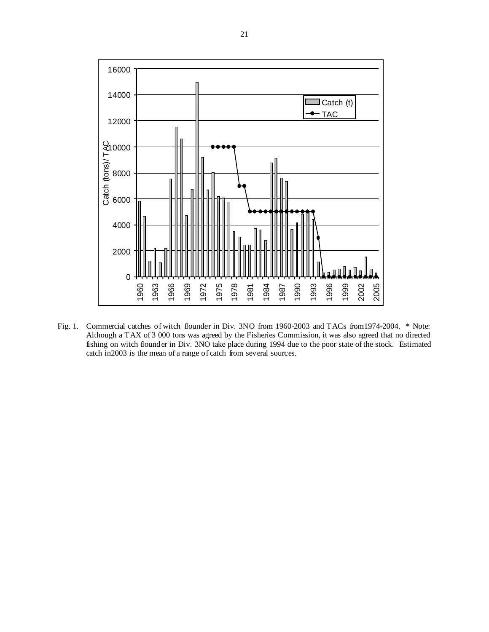

Fig. 1. Commercial catches of witch flounder in Div. 3NO from 1960-2003 and TACs from 1974-2004. \* Note: Although a TAX of 3 000 tons was agreed by the Fisheries Commission, it was also agreed that no directed fishing on witch flounder in Div. 3NO take place during 1994 due to the poor state of the stock. Estimated catch in2003 is the mean of a range of catch from several sources.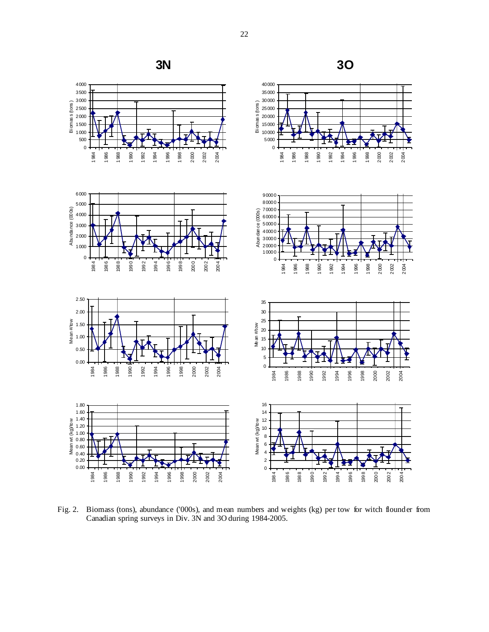

 

Biomas s (tons )

 

 



Fig. 2. Biomass (tons), abundance ('000s), and mean numbers and weights (kg) per tow for witch flounder from Canadian spring surveys in Div. 3N and 3O during 1984-2005.

 -<br>2000 -<br>2002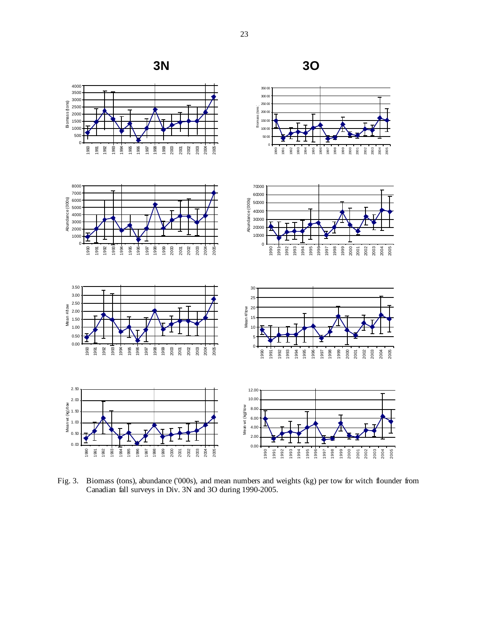

Fig. 3. Biomass (tons), abundance ('000s), and mean numbers and weights (kg) per tow for witch flounder from Canadian fall surveys in Div. 3N and 3O during 1990-2005.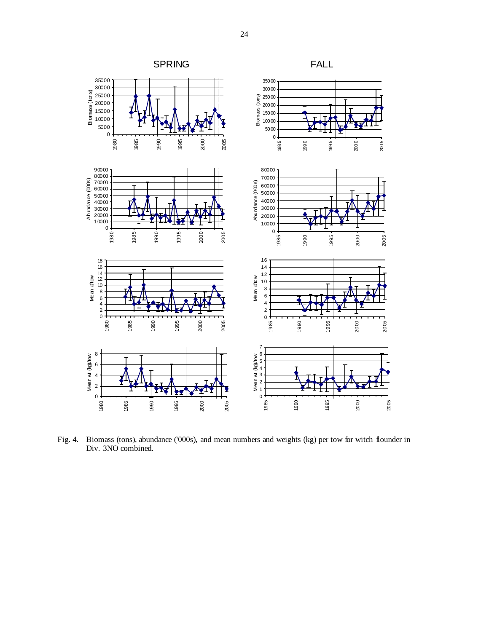

Fig. 4. Biomass (tons), abundance ('000s), and mean numbers and weights (kg) per tow for witch flounder in Div. 3NO combined.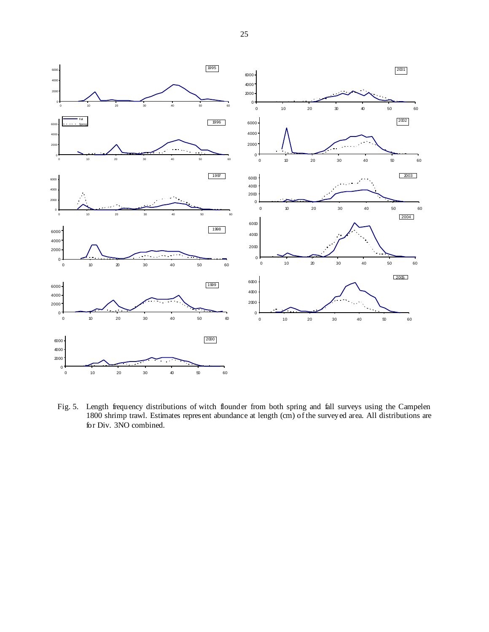

Fig. 5. Length frequency distributions of witch flounder from both spring and fall surveys using the Campelen 1800 shrimp trawl. Estimates represent abundance at length (cm) of the surveyed area. All distributions are for Div. 3NO combined.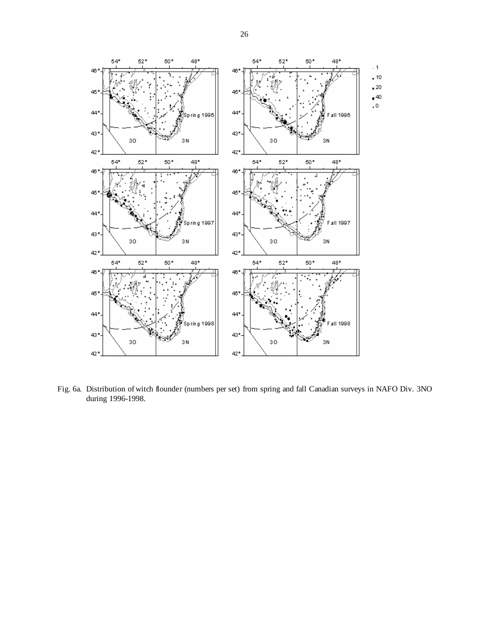

Fig. 6a. Distribution of witch flounder (numbers per set) from spring and fall Canadian surveys in NAFO Div. 3NO during 1996-1998.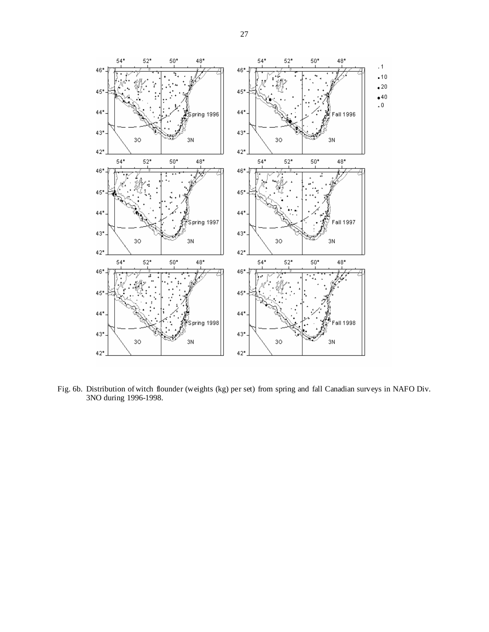

Fig. 6b. Distribution of witch flounder (weights (kg) per set) from spring and fall Canadian surveys in NAFO Div. 3NO during 1996-1998.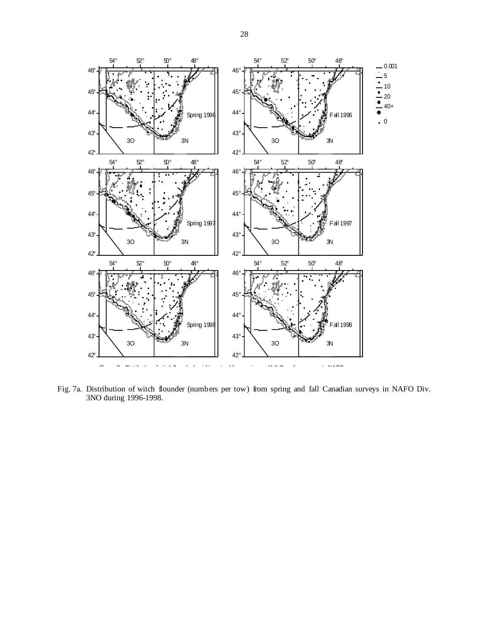

Fig. 7a. Distribution of witch flounder (numbers per tow) from spring and fall Canadian surveys in NAFO Div. 3NO during 1996-1998.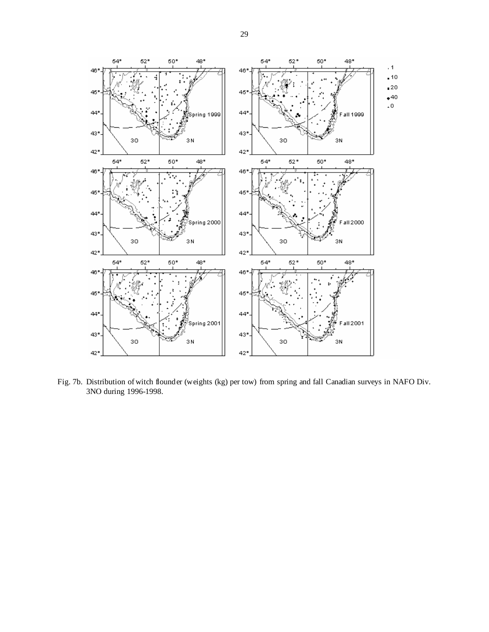

Fig. 7b. Distribution of witch flounder (weights (kg) per tow) from spring and fall Canadian surveys in NAFO Div. 3NO during 1996-1998.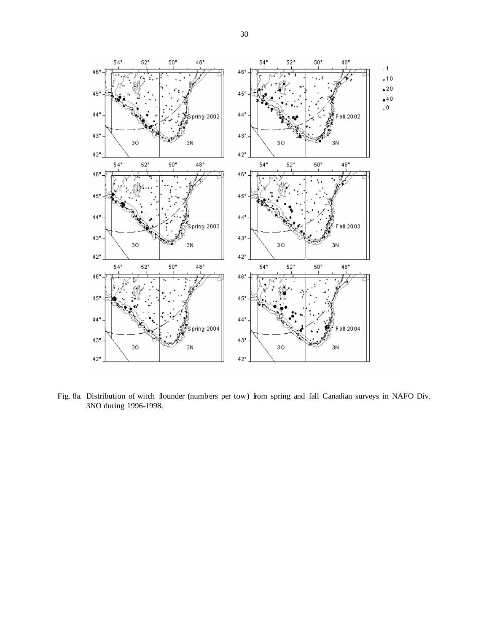

Fig. 8a. Distribution of witch flounder (numbers per tow) from spring and fall Canadian surveys in NAFO Div. 3NO during 1996-1998.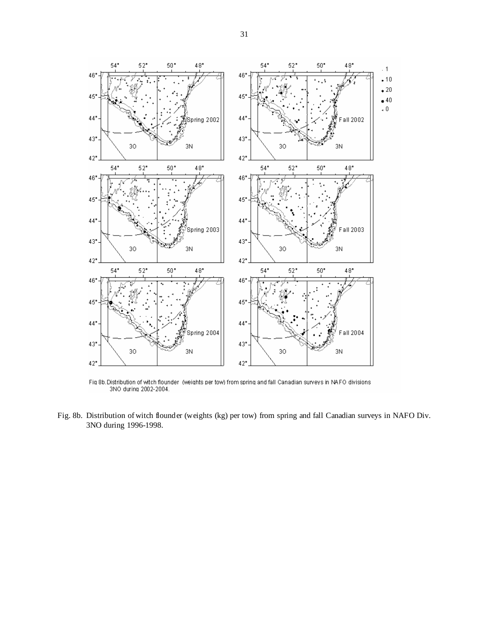

Fig 8b.Distribution of witch flounder (weights per tow) from spring and fall Canadian surveys in NAFO divisions<br>3NO during 2002-2004.

Fig. 8b. Distribution of witch flounder (weights (kg) per tow) from spring and fall Canadian surveys in NAFO Div. 3NO during 1996-1998.